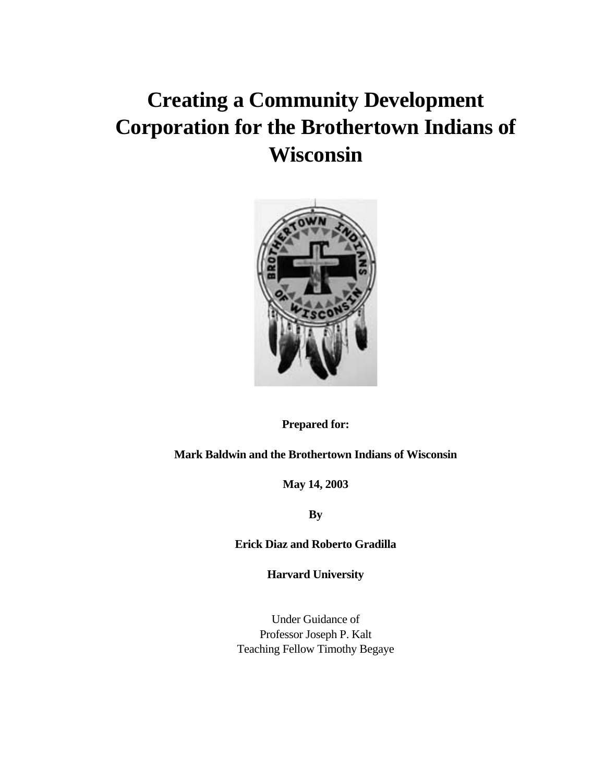# **Creating a Community Development Corporation for the Brothertown Indians of Wisconsin**



**Prepared for:** 

**Mark Baldwin and the Brothertown Indians of Wisconsin** 

**May 14, 2003** 

**By** 

**Erick Diaz and Roberto Gradilla** 

**Harvard University** 

Under Guidance of Professor Joseph P. Kalt Teaching Fellow Timothy Begaye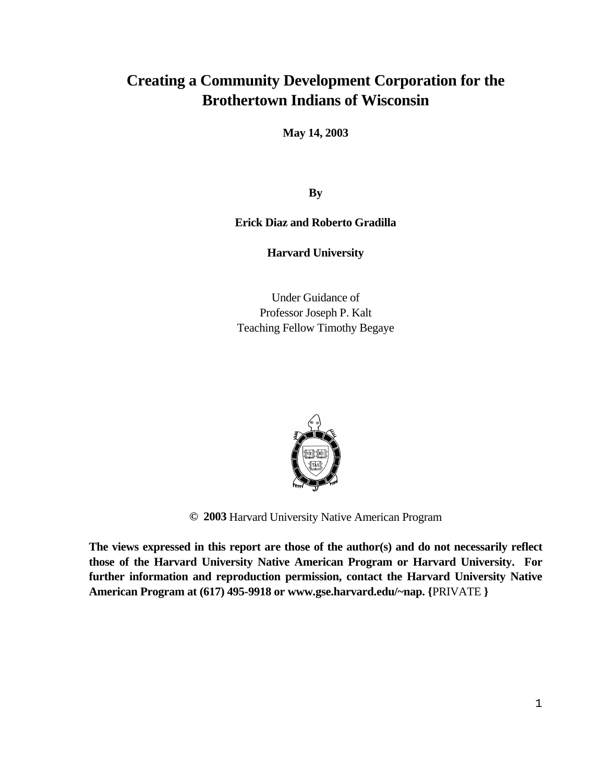# **Creating a Community Development Corporation for the Brothertown Indians of Wisconsin**

**May 14, 2003** 

**By** 

**Erick Diaz and Roberto Gradilla** 

**Harvard University** 

Under Guidance of Professor Joseph P. Kalt Teaching Fellow Timothy Begaye



**© 2003** Harvard University Native American Program

**The views expressed in this report are those of the author(s) and do not necessarily reflect those of the Harvard University Native American Program or Harvard University. For further information and reproduction permission, contact the Harvard University Native American Program at (617) 495-9918 or www.gse.harvard.edu/~nap. {**PRIVATE **}**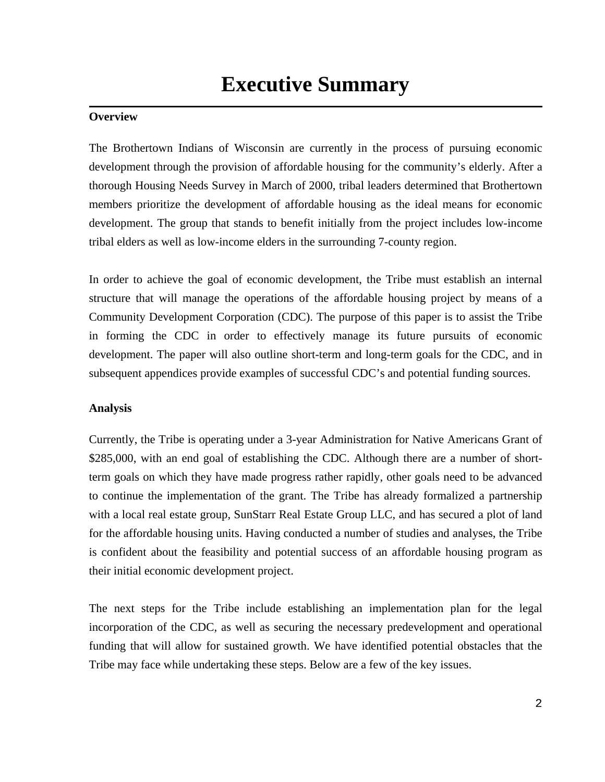#### **Overview**

The Brothertown Indians of Wisconsin are currently in the process of pursuing economic development through the provision of affordable housing for the community's elderly. After a thorough Housing Needs Survey in March of 2000, tribal leaders determined that Brothertown members prioritize the development of affordable housing as the ideal means for economic development. The group that stands to benefit initially from the project includes low-income tribal elders as well as low-income elders in the surrounding 7-county region.

In order to achieve the goal of economic development, the Tribe must establish an internal structure that will manage the operations of the affordable housing project by means of a Community Development Corporation (CDC). The purpose of this paper is to assist the Tribe in forming the CDC in order to effectively manage its future pursuits of economic development. The paper will also outline short-term and long-term goals for the CDC, and in subsequent appendices provide examples of successful CDC's and potential funding sources.

#### **Analysis**

Currently, the Tribe is operating under a 3-year Administration for Native Americans Grant of \$285,000, with an end goal of establishing the CDC. Although there are a number of shortterm goals on which they have made progress rather rapidly, other goals need to be advanced to continue the implementation of the grant. The Tribe has already formalized a partnership with a local real estate group, SunStarr Real Estate Group LLC, and has secured a plot of land for the affordable housing units. Having conducted a number of studies and analyses, the Tribe is confident about the feasibility and potential success of an affordable housing program as their initial economic development project.

The next steps for the Tribe include establishing an implementation plan for the legal incorporation of the CDC, as well as securing the necessary predevelopment and operational funding that will allow for sustained growth. We have identified potential obstacles that the Tribe may face while undertaking these steps. Below are a few of the key issues.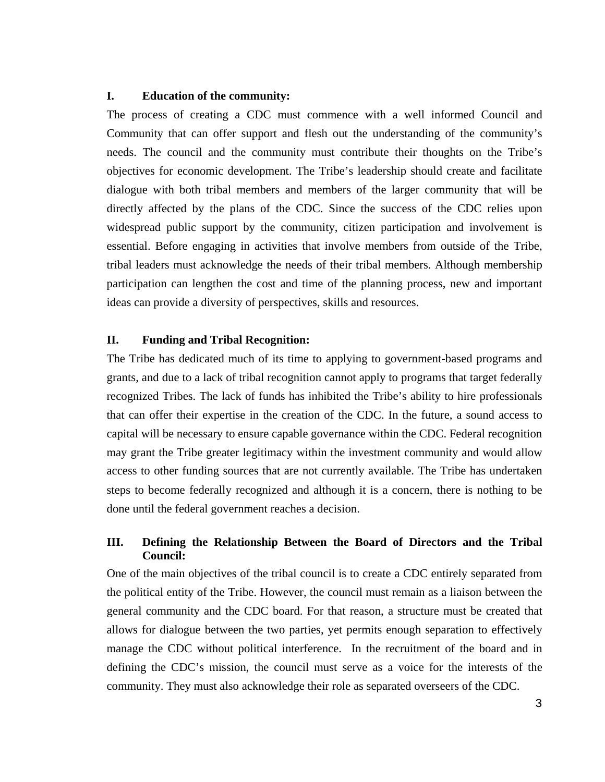#### **I. Education of the community:**

The process of creating a CDC must commence with a well informed Council and Community that can offer support and flesh out the understanding of the community's needs. The council and the community must contribute their thoughts on the Tribe's objectives for economic development. The Tribe's leadership should create and facilitate dialogue with both tribal members and members of the larger community that will be directly affected by the plans of the CDC. Since the success of the CDC relies upon widespread public support by the community, citizen participation and involvement is essential. Before engaging in activities that involve members from outside of the Tribe, tribal leaders must acknowledge the needs of their tribal members. Although membership participation can lengthen the cost and time of the planning process, new and important ideas can provide a diversity of perspectives, skills and resources.

#### **II. Funding and Tribal Recognition:**

The Tribe has dedicated much of its time to applying to government-based programs and grants, and due to a lack of tribal recognition cannot apply to programs that target federally recognized Tribes. The lack of funds has inhibited the Tribe's ability to hire professionals that can offer their expertise in the creation of the CDC. In the future, a sound access to capital will be necessary to ensure capable governance within the CDC. Federal recognition may grant the Tribe greater legitimacy within the investment community and would allow access to other funding sources that are not currently available. The Tribe has undertaken steps to become federally recognized and although it is a concern, there is nothing to be done until the federal government reaches a decision.

#### **III. Defining the Relationship Between the Board of Directors and the Tribal Council:**

One of the main objectives of the tribal council is to create a CDC entirely separated from the political entity of the Tribe. However, the council must remain as a liaison between the general community and the CDC board. For that reason, a structure must be created that allows for dialogue between the two parties, yet permits enough separation to effectively manage the CDC without political interference. In the recruitment of the board and in defining the CDC's mission, the council must serve as a voice for the interests of the community. They must also acknowledge their role as separated overseers of the CDC.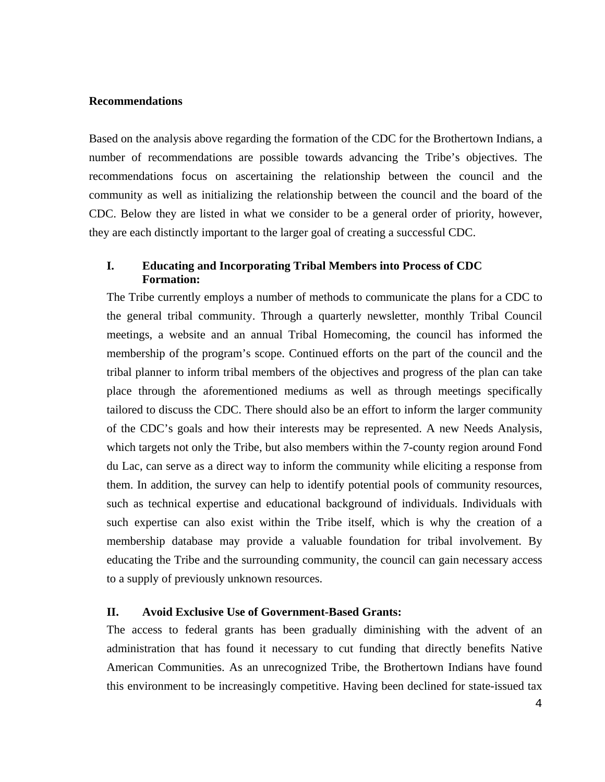#### **Recommendations**

Based on the analysis above regarding the formation of the CDC for the Brothertown Indians, a number of recommendations are possible towards advancing the Tribe's objectives. The recommendations focus on ascertaining the relationship between the council and the community as well as initializing the relationship between the council and the board of the CDC. Below they are listed in what we consider to be a general order of priority, however, they are each distinctly important to the larger goal of creating a successful CDC.

#### **I. Educating and Incorporating Tribal Members into Process of CDC Formation:**

The Tribe currently employs a number of methods to communicate the plans for a CDC to the general tribal community. Through a quarterly newsletter, monthly Tribal Council meetings, a website and an annual Tribal Homecoming, the council has informed the membership of the program's scope. Continued efforts on the part of the council and the tribal planner to inform tribal members of the objectives and progress of the plan can take place through the aforementioned mediums as well as through meetings specifically tailored to discuss the CDC. There should also be an effort to inform the larger community of the CDC's goals and how their interests may be represented. A new Needs Analysis, which targets not only the Tribe, but also members within the 7-county region around Fond du Lac, can serve as a direct way to inform the community while eliciting a response from them. In addition, the survey can help to identify potential pools of community resources, such as technical expertise and educational background of individuals. Individuals with such expertise can also exist within the Tribe itself, which is why the creation of a membership database may provide a valuable foundation for tribal involvement. By educating the Tribe and the surrounding community, the council can gain necessary access to a supply of previously unknown resources.

#### **II. Avoid Exclusive Use of Government-Based Grants:**

The access to federal grants has been gradually diminishing with the advent of an administration that has found it necessary to cut funding that directly benefits Native American Communities. As an unrecognized Tribe, the Brothertown Indians have found this environment to be increasingly competitive. Having been declined for state-issued tax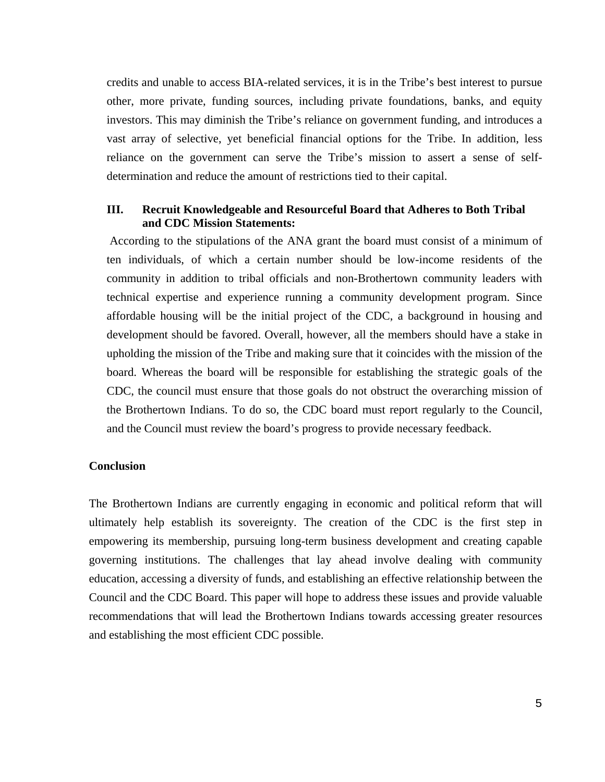credits and unable to access BIA-related services, it is in the Tribe's best interest to pursue other, more private, funding sources, including private foundations, banks, and equity investors. This may diminish the Tribe's reliance on government funding, and introduces a vast array of selective, yet beneficial financial options for the Tribe. In addition, less reliance on the government can serve the Tribe's mission to assert a sense of selfdetermination and reduce the amount of restrictions tied to their capital.

#### **III. Recruit Knowledgeable and Resourceful Board that Adheres to Both Tribal and CDC Mission Statements:**

 According to the stipulations of the ANA grant the board must consist of a minimum of ten individuals, of which a certain number should be low-income residents of the community in addition to tribal officials and non-Brothertown community leaders with technical expertise and experience running a community development program. Since affordable housing will be the initial project of the CDC, a background in housing and development should be favored. Overall, however, all the members should have a stake in upholding the mission of the Tribe and making sure that it coincides with the mission of the board. Whereas the board will be responsible for establishing the strategic goals of the CDC, the council must ensure that those goals do not obstruct the overarching mission of the Brothertown Indians. To do so, the CDC board must report regularly to the Council, and the Council must review the board's progress to provide necessary feedback.

#### **Conclusion**

The Brothertown Indians are currently engaging in economic and political reform that will ultimately help establish its sovereignty. The creation of the CDC is the first step in empowering its membership, pursuing long-term business development and creating capable governing institutions. The challenges that lay ahead involve dealing with community education, accessing a diversity of funds, and establishing an effective relationship between the Council and the CDC Board. This paper will hope to address these issues and provide valuable recommendations that will lead the Brothertown Indians towards accessing greater resources and establishing the most efficient CDC possible.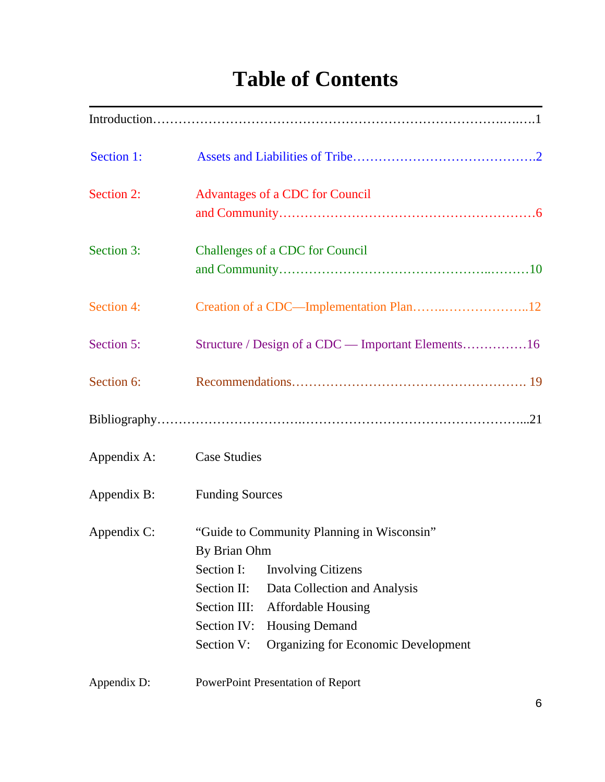# **Table of Contents**

| Section 1:  |                                                                                                                                                                                                                                                                                                       |
|-------------|-------------------------------------------------------------------------------------------------------------------------------------------------------------------------------------------------------------------------------------------------------------------------------------------------------|
| Section 2:  | Advantages of a CDC for Council                                                                                                                                                                                                                                                                       |
| Section 3:  | Challenges of a CDC for Council                                                                                                                                                                                                                                                                       |
| Section 4:  |                                                                                                                                                                                                                                                                                                       |
| Section 5:  | Structure / Design of a CDC — Important Elements16                                                                                                                                                                                                                                                    |
| Section 6:  |                                                                                                                                                                                                                                                                                                       |
|             |                                                                                                                                                                                                                                                                                                       |
| Appendix A: | <b>Case Studies</b>                                                                                                                                                                                                                                                                                   |
| Appendix B: | <b>Funding Sources</b>                                                                                                                                                                                                                                                                                |
| Appendix C: | "Guide to Community Planning in Wisconsin"<br>By Brian Ohm<br>Section I:<br><b>Involving Citizens</b><br>Section II:<br>Data Collection and Analysis<br>Section III:<br><b>Affordable Housing</b><br>Section IV:<br><b>Housing Demand</b><br><b>Organizing for Economic Development</b><br>Section V: |
| Appendix D: | PowerPoint Presentation of Report                                                                                                                                                                                                                                                                     |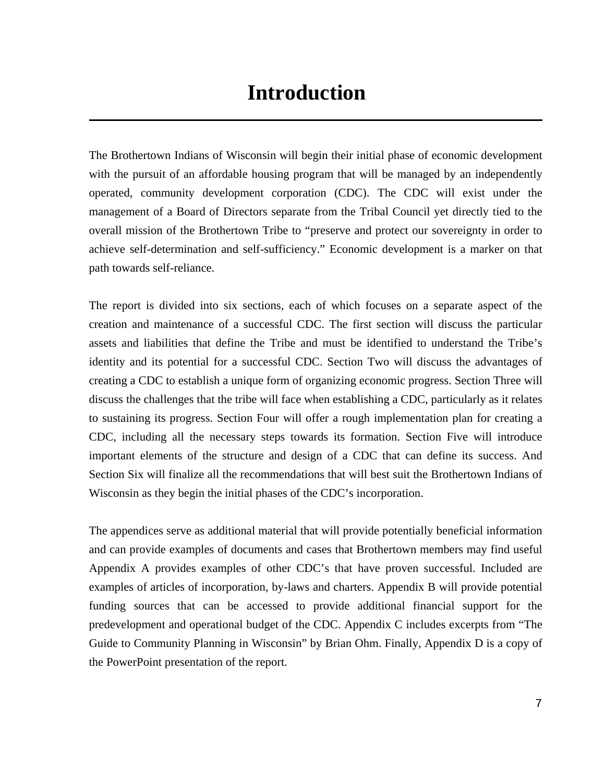The Brothertown Indians of Wisconsin will begin their initial phase of economic development with the pursuit of an affordable housing program that will be managed by an independently operated, community development corporation (CDC). The CDC will exist under the management of a Board of Directors separate from the Tribal Council yet directly tied to the overall mission of the Brothertown Tribe to "preserve and protect our sovereignty in order to achieve self-determination and self-sufficiency." Economic development is a marker on that path towards self-reliance.

The report is divided into six sections, each of which focuses on a separate aspect of the creation and maintenance of a successful CDC. The first section will discuss the particular assets and liabilities that define the Tribe and must be identified to understand the Tribe's identity and its potential for a successful CDC. Section Two will discuss the advantages of creating a CDC to establish a unique form of organizing economic progress. Section Three will discuss the challenges that the tribe will face when establishing a CDC, particularly as it relates to sustaining its progress. Section Four will offer a rough implementation plan for creating a CDC, including all the necessary steps towards its formation. Section Five will introduce important elements of the structure and design of a CDC that can define its success. And Section Six will finalize all the recommendations that will best suit the Brothertown Indians of Wisconsin as they begin the initial phases of the CDC's incorporation.

The appendices serve as additional material that will provide potentially beneficial information and can provide examples of documents and cases that Brothertown members may find useful Appendix A provides examples of other CDC's that have proven successful. Included are examples of articles of incorporation, by-laws and charters. Appendix B will provide potential funding sources that can be accessed to provide additional financial support for the predevelopment and operational budget of the CDC. Appendix C includes excerpts from "The Guide to Community Planning in Wisconsin" by Brian Ohm. Finally, Appendix D is a copy of the PowerPoint presentation of the report.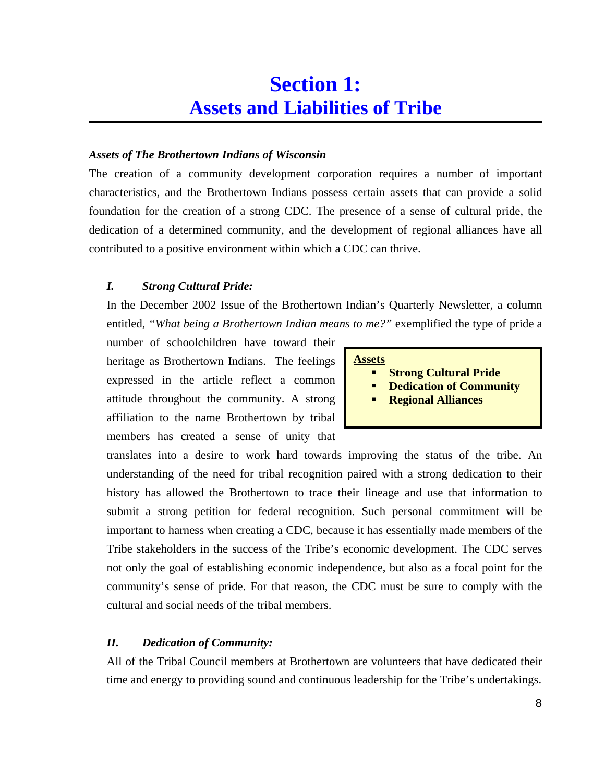#### *Assets of The Brothertown Indians of Wisconsin*

The creation of a community development corporation requires a number of important characteristics, and the Brothertown Indians possess certain assets that can provide a solid foundation for the creation of a strong CDC. The presence of a sense of cultural pride, the dedication of a determined community, and the development of regional alliances have all contributed to a positive environment within which a CDC can thrive.

### *I. Strong Cultural Pride:*

In the December 2002 Issue of the Brothertown Indian's Quarterly Newsletter, a column entitled, *"What being a Brothertown Indian means to me?"* exemplified the type of pride a

number of schoolchildren have toward their heritage as Brothertown Indians. The feelings expressed in the article reflect a common attitude throughout the community. A strong affiliation to the name Brothertown by tribal members has created a sense of unity that

#### **Assets**

- -**Strong Cultural Pride**
- -**Dedication of Community**
- -**Regional Alliances**

translates into a desire to work hard towards improving the status of the tribe. An understanding of the need for tribal recognition paired with a strong dedication to their history has allowed the Brothertown to trace their lineage and use that information to submit a strong petition for federal recognition. Such personal commitment will be important to harness when creating a CDC, because it has essentially made members of the Tribe stakeholders in the success of the Tribe's economic development. The CDC serves not only the goal of establishing economic independence, but also as a focal point for the community's sense of pride. For that reason, the CDC must be sure to comply with the cultural and social needs of the tribal members.

#### *II. Dedication of Community:*

All of the Tribal Council members at Brothertown are volunteers that have dedicated their time and energy to providing sound and continuous leadership for the Tribe's undertakings.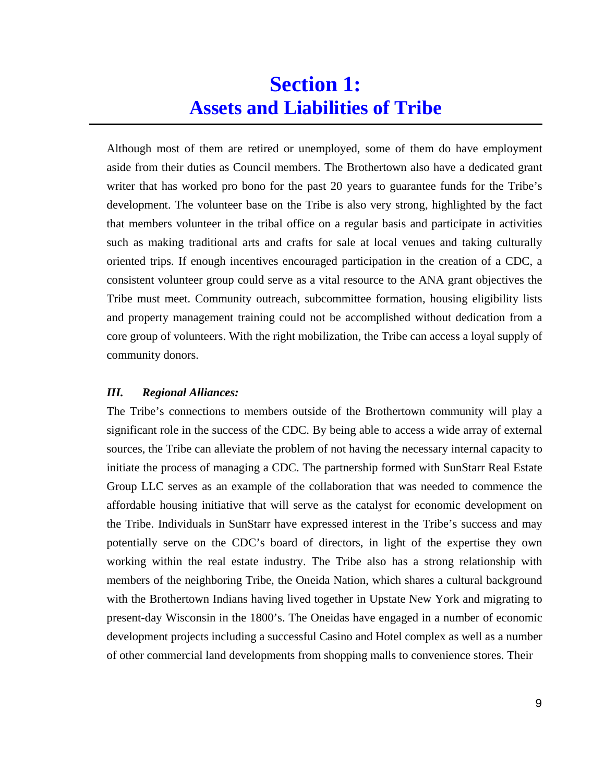Although most of them are retired or unemployed, some of them do have employment aside from their duties as Council members. The Brothertown also have a dedicated grant writer that has worked pro bono for the past 20 years to guarantee funds for the Tribe's development. The volunteer base on the Tribe is also very strong, highlighted by the fact that members volunteer in the tribal office on a regular basis and participate in activities such as making traditional arts and crafts for sale at local venues and taking culturally oriented trips. If enough incentives encouraged participation in the creation of a CDC, a consistent volunteer group could serve as a vital resource to the ANA grant objectives the Tribe must meet. Community outreach, subcommittee formation, housing eligibility lists and property management training could not be accomplished without dedication from a core group of volunteers. With the right mobilization, the Tribe can access a loyal supply of community donors.

#### *III. Regional Alliances:*

The Tribe's connections to members outside of the Brothertown community will play a significant role in the success of the CDC. By being able to access a wide array of external sources, the Tribe can alleviate the problem of not having the necessary internal capacity to initiate the process of managing a CDC. The partnership formed with SunStarr Real Estate Group LLC serves as an example of the collaboration that was needed to commence the affordable housing initiative that will serve as the catalyst for economic development on the Tribe. Individuals in SunStarr have expressed interest in the Tribe's success and may potentially serve on the CDC's board of directors, in light of the expertise they own working within the real estate industry. The Tribe also has a strong relationship with members of the neighboring Tribe, the Oneida Nation, which shares a cultural background with the Brothertown Indians having lived together in Upstate New York and migrating to present-day Wisconsin in the 1800's. The Oneidas have engaged in a number of economic development projects including a successful Casino and Hotel complex as well as a number of other commercial land developments from shopping malls to convenience stores. Their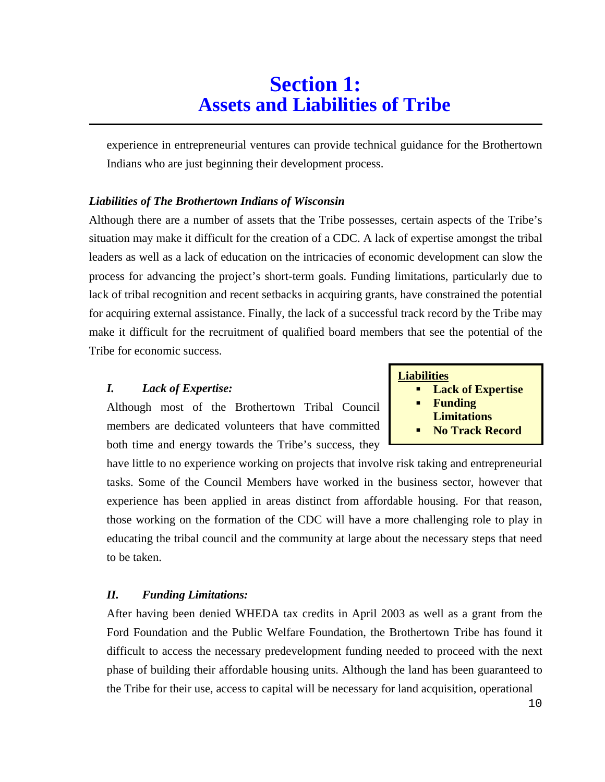experience in entrepreneurial ventures can provide technical guidance for the Brothertown Indians who are just beginning their development process.

#### *Liabilities of The Brothertown Indians of Wisconsin*

Although there are a number of assets that the Tribe possesses, certain aspects of the Tribe's situation may make it difficult for the creation of a CDC. A lack of expertise amongst the tribal leaders as well as a lack of education on the intricacies of economic development can slow the process for advancing the project's short-term goals. Funding limitations, particularly due to lack of tribal recognition and recent setbacks in acquiring grants, have constrained the potential for acquiring external assistance. Finally, the lack of a successful track record by the Tribe may make it difficult for the recruitment of qualified board members that see the potential of the Tribe for economic success.

#### *I. Lack of Expertise:*

Although most of the Brothertown Tribal Council members are dedicated volunteers that have committed both time and energy towards the Tribe's success, they

have little to no experience working on projects that involve risk taking and entrepreneurial tasks. Some of the Council Members have worked in the business sector, however that experience has been applied in areas distinct from affordable housing. For that reason, those working on the formation of the CDC will have a more challenging role to play in educating the tribal council and the community at large about the necessary steps that need to be taken.

#### *II. Funding Limitations:*

After having been denied WHEDA tax credits in April 2003 as well as a grant from the Ford Foundation and the Public Welfare Foundation, the Brothertown Tribe has found it difficult to access the necessary predevelopment funding needed to proceed with the next phase of building their affordable housing units. Although the land has been guaranteed to the Tribe for their use, access to capital will be necessary for land acquisition, operational

### **Liabilities**

- -**Lack of Expertise**
- -**Funding**
- **Limitations**
- -**No Track Record**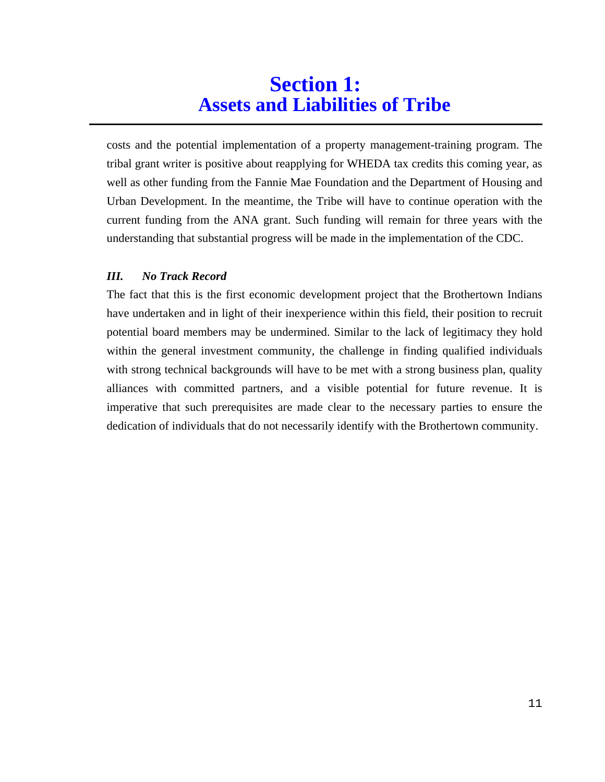costs and the potential implementation of a property management-training program. The tribal grant writer is positive about reapplying for WHEDA tax credits this coming year, as well as other funding from the Fannie Mae Foundation and the Department of Housing and Urban Development. In the meantime, the Tribe will have to continue operation with the current funding from the ANA grant. Such funding will remain for three years with the understanding that substantial progress will be made in the implementation of the CDC.

### *III. No Track Record*

The fact that this is the first economic development project that the Brothertown Indians have undertaken and in light of their inexperience within this field, their position to recruit potential board members may be undermined. Similar to the lack of legitimacy they hold within the general investment community, the challenge in finding qualified individuals with strong technical backgrounds will have to be met with a strong business plan, quality alliances with committed partners, and a visible potential for future revenue. It is imperative that such prerequisites are made clear to the necessary parties to ensure the dedication of individuals that do not necessarily identify with the Brothertown community.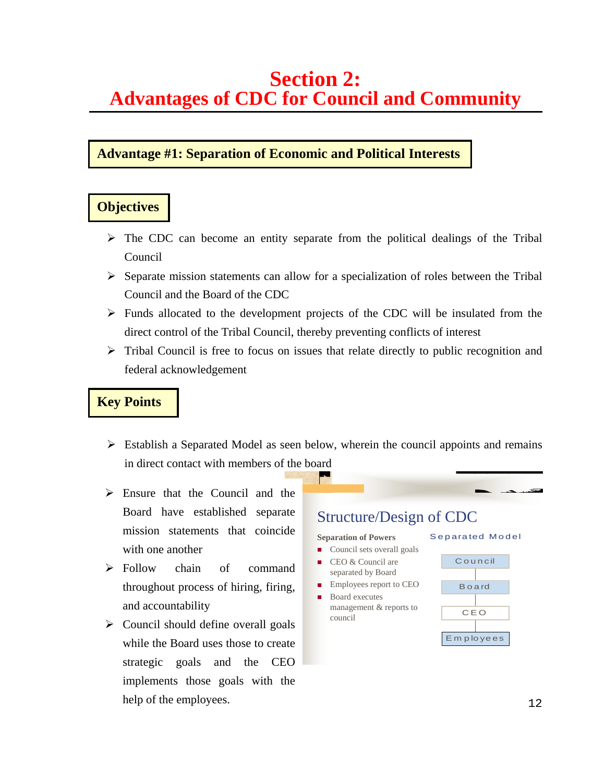### **Advantage #1: Separation of Economic and Political Interests**

### **Objectives**

- > The CDC can become an entity separate from the political dealings of the Tribal Council
- > Separate mission statements can allow for a specialization of roles between the Tribal Council and the Board of the CDC
- > Funds allocated to the development projects of the CDC will be insulated from the direct control of the Tribal Council, thereby preventing conflicts of interest
- > Tribal Council is free to focus on issues that relate directly to public recognition and federal acknowledgement

## **Key Points**

- > Establish a Separated Model as seen below, wherein the council appoints and remains in direct contact with members of the board
- > Ensure that the Council and the Board have established separate mission statements that coincide with one another
- $\triangleright$  Follow chain of command throughout process of hiring, firing, and accountability
- > Council should define overall goals while the Board uses those to create strategic goals and the CEO implements those goals with the help of the employees.

# Structure/Design of CDC

#### **Separation of Powers**

- Council sets overall goals CEO & Council are
- separated by Board  $\blacksquare$  Employees report to CEO
- Board executes management & reports to council



Separated Model

<u> 33 - Sal</u>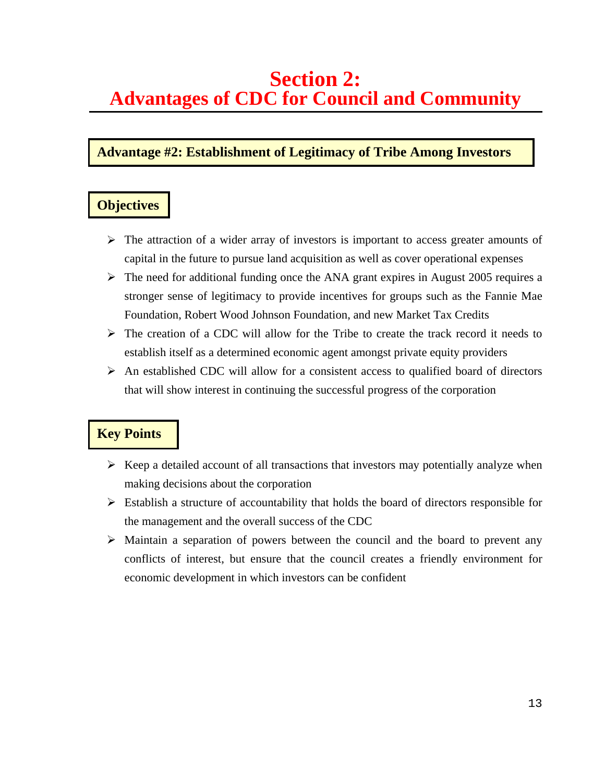### **Advantage #2: Establishment of Legitimacy of Tribe Among Investors**

### **Objectives**

- > The attraction of a wider array of investors is important to access greater amounts of capital in the future to pursue land acquisition as well as cover operational expenses
- > The need for additional funding once the ANA grant expires in August 2005 requires a stronger sense of legitimacy to provide incentives for groups such as the Fannie Mae Foundation, Robert Wood Johnson Foundation, and new Market Tax Credits
- > The creation of a CDC will allow for the Tribe to create the track record it needs to establish itself as a determined economic agent amongst private equity providers
- > An established CDC will allow for a consistent access to qualified board of directors that will show interest in continuing the successful progress of the corporation

- -Keep a detailed account of all transactions that investors may potentially analyze when making decisions about the corporation
- > Establish a structure of accountability that holds the board of directors responsible for the management and the overall success of the CDC
- > Maintain a separation of powers between the council and the board to prevent any conflicts of interest, but ensure that the council creates a friendly environment for economic development in which investors can be confident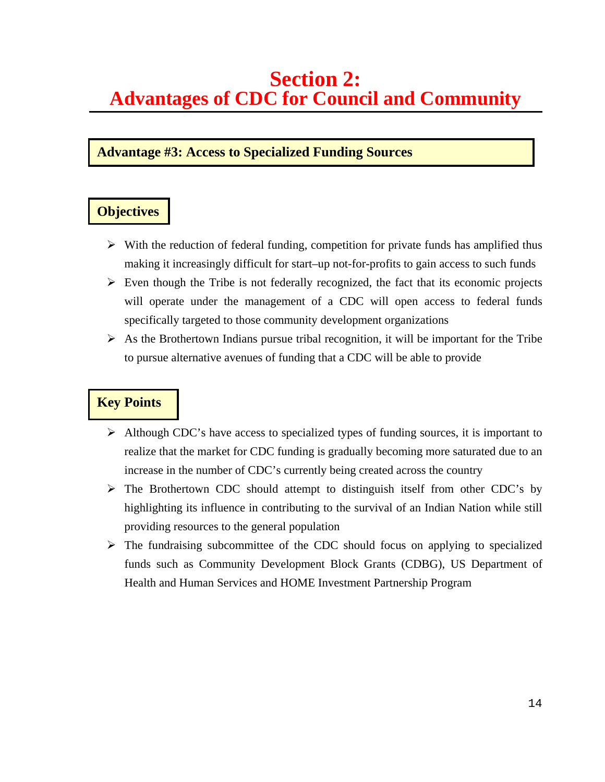### **Advantage #3: Access to Specialized Funding Sources**

## **Objectives**

- -With the reduction of federal funding, competition for private funds has amplified thus making it increasingly difficult for start–up not-for-profits to gain access to such funds
- > Even though the Tribe is not federally recognized, the fact that its economic projects will operate under the management of a CDC will open access to federal funds specifically targeted to those community development organizations
- -As the Brothertown Indians pursue tribal recognition, it will be important for the Tribe to pursue alternative avenues of funding that a CDC will be able to provide

- > Although CDC's have access to specialized types of funding sources, it is important to realize that the market for CDC funding is gradually becoming more saturated due to an increase in the number of CDC's currently being created across the country
- -The Brothertown CDC should attempt to distinguish itself from other CDC's by highlighting its influence in contributing to the survival of an Indian Nation while still providing resources to the general population
- > The fundraising subcommittee of the CDC should focus on applying to specialized funds such as Community Development Block Grants (CDBG), US Department of Health and Human Services and HOME Investment Partnership Program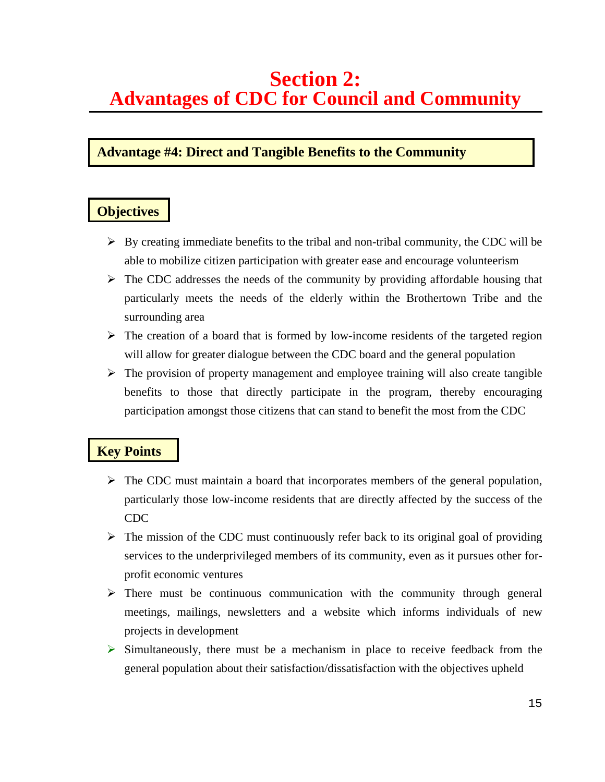### **Advantage #4: Direct and Tangible Benefits to the Community**

### **Objectives**

- -By creating immediate benefits to the tribal and non-tribal community, the CDC will be able to mobilize citizen participation with greater ease and encourage volunteerism
- > The CDC addresses the needs of the community by providing affordable housing that particularly meets the needs of the elderly within the Brothertown Tribe and the surrounding area
- > The creation of a board that is formed by low-income residents of the targeted region will allow for greater dialogue between the CDC board and the general population
- > The provision of property management and employee training will also create tangible benefits to those that directly participate in the program, thereby encouraging participation amongst those citizens that can stand to benefit the most from the CDC

- > The CDC must maintain a board that incorporates members of the general population, particularly those low-income residents that are directly affected by the success of the CDC
- > The mission of the CDC must continuously refer back to its original goal of providing services to the underprivileged members of its community, even as it pursues other forprofit economic ventures
- > There must be continuous communication with the community through general meetings, mailings, newsletters and a website which informs individuals of new projects in development
- > Simultaneously, there must be a mechanism in place to receive feedback from the general population about their satisfaction/dissatisfaction with the objectives upheld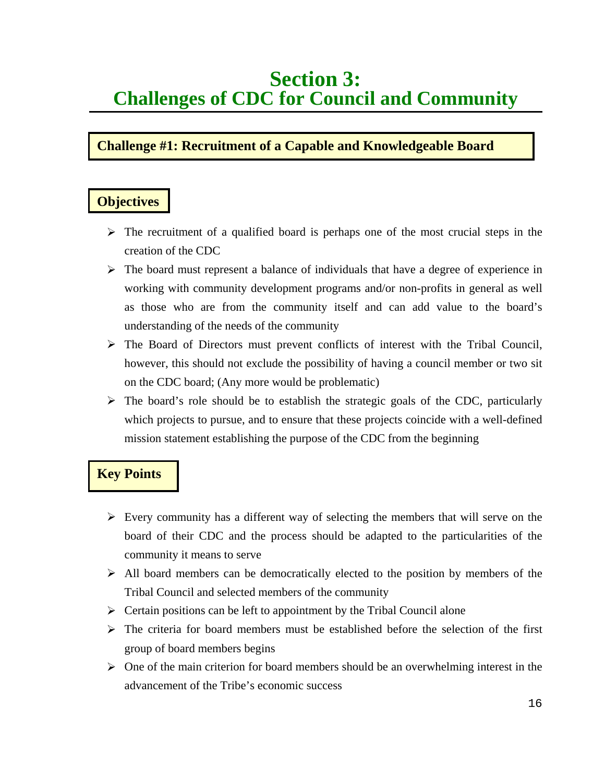# **Section 3: Challenges of CDC for Council and Community**

# **Challenge #1: Recruitment of a Capable and Knowledgeable Board**

### **Objectives**

- > The recruitment of a qualified board is perhaps one of the most crucial steps in the creation of the CDC
- > The board must represent a balance of individuals that have a degree of experience in working with community development programs and/or non-profits in general as well as those who are from the community itself and can add value to the board's understanding of the needs of the community
- -The Board of Directors must prevent conflicts of interest with the Tribal Council, however, this should not exclude the possibility of having a council member or two sit on the CDC board; (Any more would be problematic)
- > The board's role should be to establish the strategic goals of the CDC, particularly which projects to pursue, and to ensure that these projects coincide with a well-defined mission statement establishing the purpose of the CDC from the beginning

- -Every community has a different way of selecting the members that will serve on the board of their CDC and the process should be adapted to the particularities of the community it means to serve
- > All board members can be democratically elected to the position by members of the Tribal Council and selected members of the community
- > Certain positions can be left to appointment by the Tribal Council alone
- > The criteria for board members must be established before the selection of the first group of board members begins
- > One of the main criterion for board members should be an overwhelming interest in the advancement of the Tribe's economic success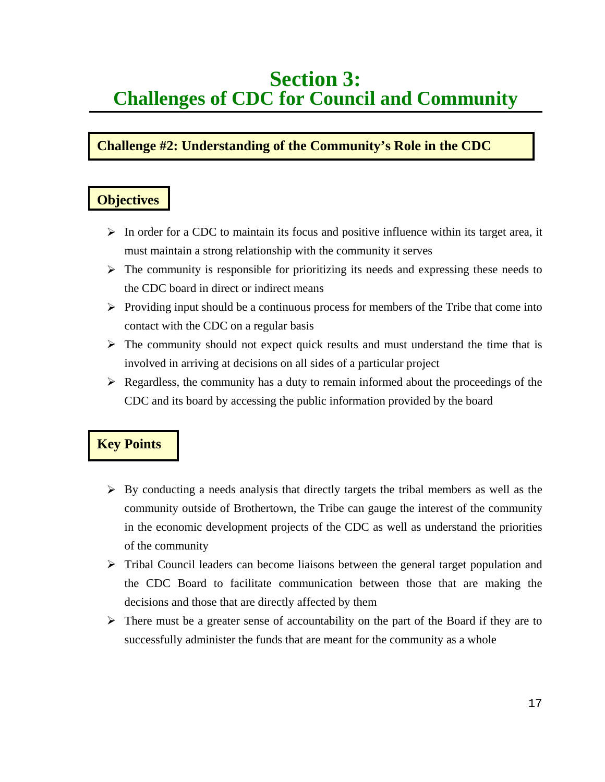# **Section 3: Challenges of CDC for Council and Community**

# **Challenge #2: Understanding of the Community's Role in the CDC**

# **Objectives**

- -In order for a CDC to maintain its focus and positive influence within its target area, it must maintain a strong relationship with the community it serves
- > The community is responsible for prioritizing its needs and expressing these needs to the CDC board in direct or indirect means
- > Providing input should be a continuous process for members of the Tribe that come into contact with the CDC on a regular basis
- > The community should not expect quick results and must understand the time that is involved in arriving at decisions on all sides of a particular project
- -Regardless, the community has a duty to remain informed about the proceedings of the CDC and its board by accessing the public information provided by the board

- -By conducting a needs analysis that directly targets the tribal members as well as the community outside of Brothertown, the Tribe can gauge the interest of the community in the economic development projects of the CDC as well as understand the priorities of the community
- > Tribal Council leaders can become liaisons between the general target population and the CDC Board to facilitate communication between those that are making the decisions and those that are directly affected by them
- > There must be a greater sense of accountability on the part of the Board if they are to successfully administer the funds that are meant for the community as a whole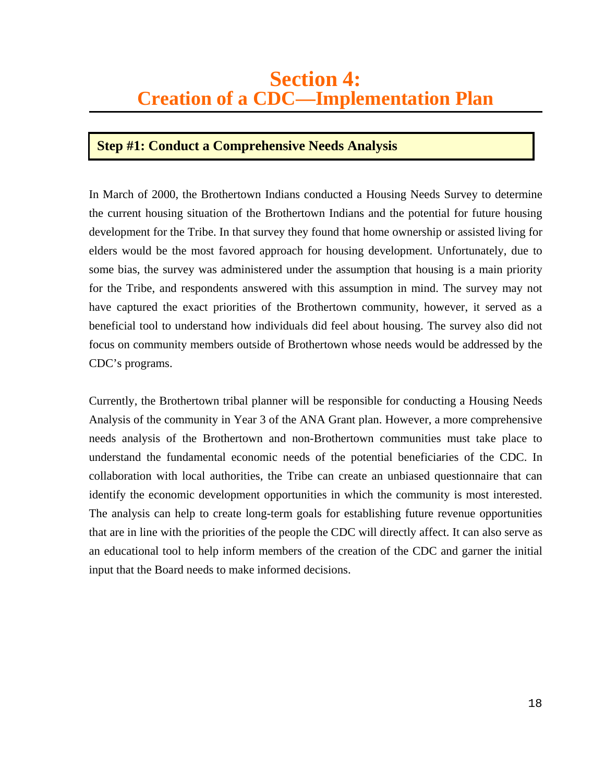## **Step #1: Conduct a Comprehensive Needs Analysis**

In March of 2000, the Brothertown Indians conducted a Housing Needs Survey to determine the current housing situation of the Brothertown Indians and the potential for future housing development for the Tribe. In that survey they found that home ownership or assisted living for elders would be the most favored approach for housing development. Unfortunately, due to some bias, the survey was administered under the assumption that housing is a main priority for the Tribe, and respondents answered with this assumption in mind. The survey may not have captured the exact priorities of the Brothertown community, however, it served as a beneficial tool to understand how individuals did feel about housing. The survey also did not focus on community members outside of Brothertown whose needs would be addressed by the CDC's programs.

Currently, the Brothertown tribal planner will be responsible for conducting a Housing Needs Analysis of the community in Year 3 of the ANA Grant plan. However, a more comprehensive needs analysis of the Brothertown and non-Brothertown communities must take place to understand the fundamental economic needs of the potential beneficiaries of the CDC. In collaboration with local authorities, the Tribe can create an unbiased questionnaire that can identify the economic development opportunities in which the community is most interested. The analysis can help to create long-term goals for establishing future revenue opportunities that are in line with the priorities of the people the CDC will directly affect. It can also serve as an educational tool to help inform members of the creation of the CDC and garner the initial input that the Board needs to make informed decisions.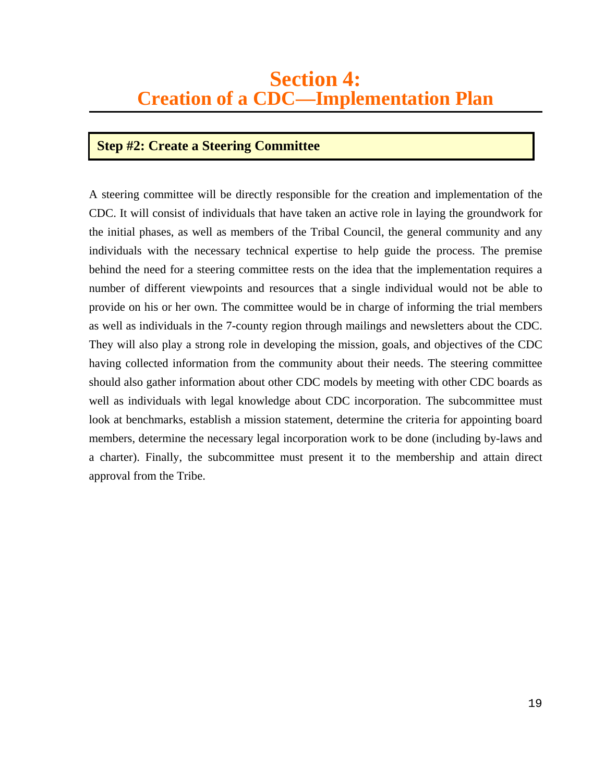### **Step #2: Create a Steering Committee**

A steering committee will be directly responsible for the creation and implementation of the CDC. It will consist of individuals that have taken an active role in laying the groundwork for the initial phases, as well as members of the Tribal Council, the general community and any individuals with the necessary technical expertise to help guide the process. The premise behind the need for a steering committee rests on the idea that the implementation requires a number of different viewpoints and resources that a single individual would not be able to provide on his or her own. The committee would be in charge of informing the trial members as well as individuals in the 7-county region through mailings and newsletters about the CDC. They will also play a strong role in developing the mission, goals, and objectives of the CDC having collected information from the community about their needs. The steering committee should also gather information about other CDC models by meeting with other CDC boards as well as individuals with legal knowledge about CDC incorporation. The subcommittee must look at benchmarks, establish a mission statement, determine the criteria for appointing board members, determine the necessary legal incorporation work to be done (including by-laws and a charter). Finally, the subcommittee must present it to the membership and attain direct approval from the Tribe.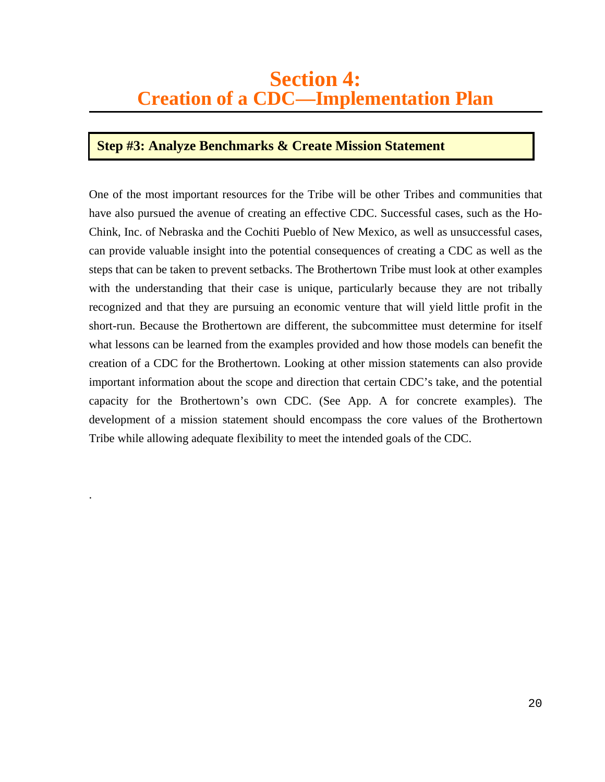### **Step #3: Analyze Benchmarks & Create Mission Statement**

.

One of the most important resources for the Tribe will be other Tribes and communities that have also pursued the avenue of creating an effective CDC. Successful cases, such as the Ho-Chink, Inc. of Nebraska and the Cochiti Pueblo of New Mexico, as well as unsuccessful cases, can provide valuable insight into the potential consequences of creating a CDC as well as the steps that can be taken to prevent setbacks. The Brothertown Tribe must look at other examples with the understanding that their case is unique, particularly because they are not tribally recognized and that they are pursuing an economic venture that will yield little profit in the short-run. Because the Brothertown are different, the subcommittee must determine for itself what lessons can be learned from the examples provided and how those models can benefit the creation of a CDC for the Brothertown. Looking at other mission statements can also provide important information about the scope and direction that certain CDC's take, and the potential capacity for the Brothertown's own CDC. (See App. A for concrete examples). The development of a mission statement should encompass the core values of the Brothertown Tribe while allowing adequate flexibility to meet the intended goals of the CDC.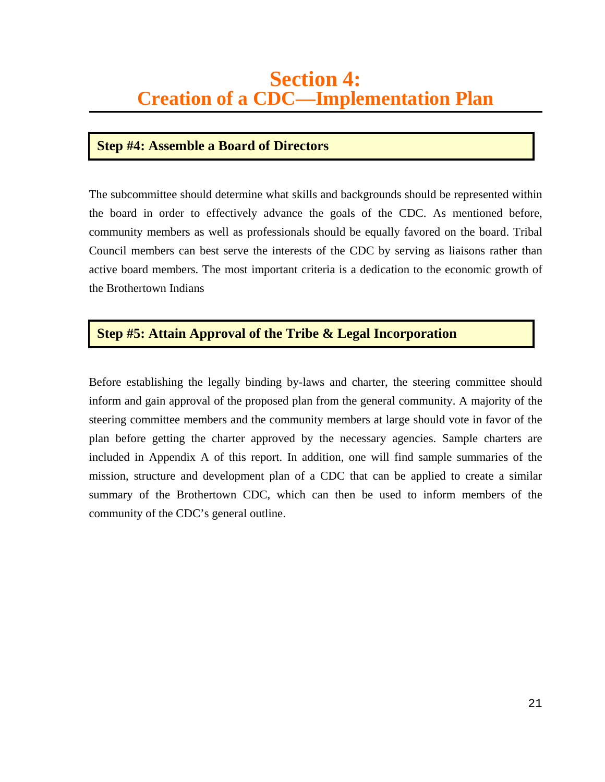### **Step #4: Assemble a Board of Directors**

The subcommittee should determine what skills and backgrounds should be represented within the board in order to effectively advance the goals of the CDC. As mentioned before, community members as well as professionals should be equally favored on the board. Tribal Council members can best serve the interests of the CDC by serving as liaisons rather than active board members. The most important criteria is a dedication to the economic growth of the Brothertown Indians

## **Step #5: Attain Approval of the Tribe & Legal Incorporation**

Before establishing the legally binding by-laws and charter, the steering committee should inform and gain approval of the proposed plan from the general community. A majority of the steering committee members and the community members at large should vote in favor of the plan before getting the charter approved by the necessary agencies. Sample charters are included in Appendix A of this report. In addition, one will find sample summaries of the mission, structure and development plan of a CDC that can be applied to create a similar summary of the Brothertown CDC, which can then be used to inform members of the community of the CDC's general outline.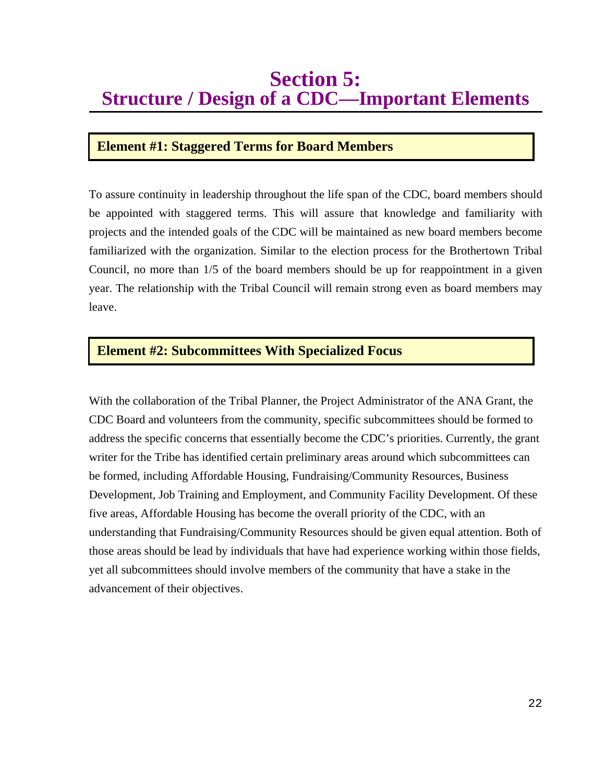# **Section 5: Structure / Design of a CDC—Important Elements**

### **Element #1: Staggered Terms for Board Members**

To assure continuity in leadership throughout the life span of the CDC, board members should be appointed with staggered terms. This will assure that knowledge and familiarity with projects and the intended goals of the CDC will be maintained as new board members become familiarized with the organization. Similar to the election process for the Brothertown Tribal Council, no more than 1/5 of the board members should be up for reappointment in a given year. The relationship with the Tribal Council will remain strong even as board members may leave.

### **Element #2: Subcommittees With Specialized Focus**

With the collaboration of the Tribal Planner, the Project Administrator of the ANA Grant, the CDC Board and volunteers from the community, specific subcommittees should be formed to address the specific concerns that essentially become the CDC's priorities. Currently, the grant writer for the Tribe has identified certain preliminary areas around which subcommittees can be formed, including Affordable Housing, Fundraising/Community Resources, Business Development, Job Training and Employment, and Community Facility Development. Of these five areas, Affordable Housing has become the overall priority of the CDC, with an understanding that Fundraising/Community Resources should be given equal attention. Both of those areas should be lead by individuals that have had experience working within those fields, yet all subcommittees should involve members of the community that have a stake in the advancement of their objectives.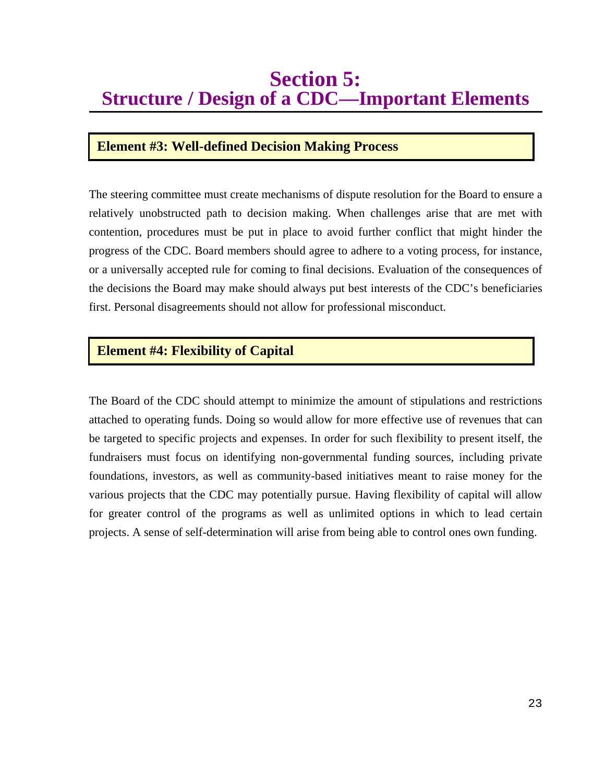# **Section 5: Structure / Design of a CDC—Important Elements**

### **Element #3: Well-defined Decision Making Process**

The steering committee must create mechanisms of dispute resolution for the Board to ensure a relatively unobstructed path to decision making. When challenges arise that are met with contention, procedures must be put in place to avoid further conflict that might hinder the progress of the CDC. Board members should agree to adhere to a voting process, for instance, or a universally accepted rule for coming to final decisions. Evaluation of the consequences of the decisions the Board may make should always put best interests of the CDC's beneficiaries first. Personal disagreements should not allow for professional misconduct.

### **Element #4: Flexibility of Capital**

The Board of the CDC should attempt to minimize the amount of stipulations and restrictions attached to operating funds. Doing so would allow for more effective use of revenues that can be targeted to specific projects and expenses. In order for such flexibility to present itself, the fundraisers must focus on identifying non-governmental funding sources, including private foundations, investors, as well as community-based initiatives meant to raise money for the various projects that the CDC may potentially pursue. Having flexibility of capital will allow for greater control of the programs as well as unlimited options in which to lead certain projects. A sense of self-determination will arise from being able to control ones own funding.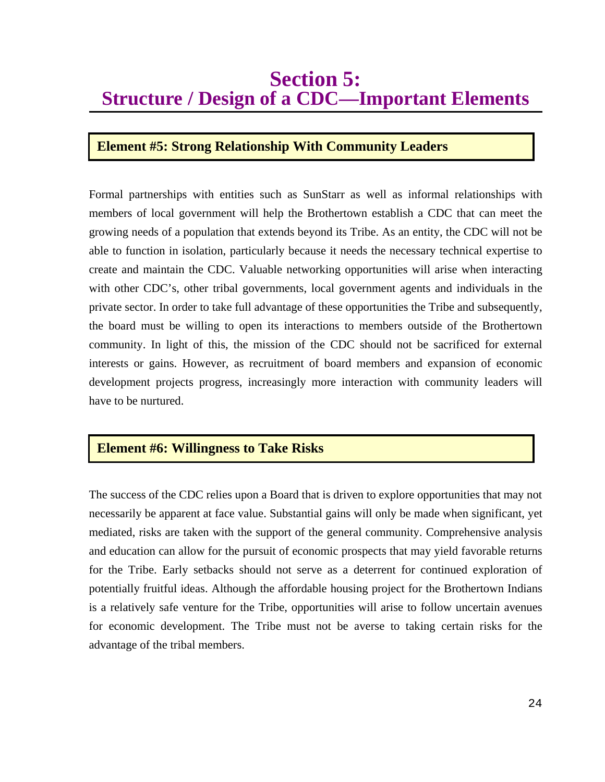# **Section 5: Structure / Design of a CDC—Important Elements**

### **Element #5: Strong Relationship With Community Leaders**

Formal partnerships with entities such as SunStarr as well as informal relationships with members of local government will help the Brothertown establish a CDC that can meet the growing needs of a population that extends beyond its Tribe. As an entity, the CDC will not be able to function in isolation, particularly because it needs the necessary technical expertise to create and maintain the CDC. Valuable networking opportunities will arise when interacting with other CDC's, other tribal governments, local government agents and individuals in the private sector. In order to take full advantage of these opportunities the Tribe and subsequently, the board must be willing to open its interactions to members outside of the Brothertown community. In light of this, the mission of the CDC should not be sacrificed for external interests or gains. However, as recruitment of board members and expansion of economic development projects progress, increasingly more interaction with community leaders will have to be nurtured.

### **Element #6: Willingness to Take Risks**

The success of the CDC relies upon a Board that is driven to explore opportunities that may not necessarily be apparent at face value. Substantial gains will only be made when significant, yet mediated, risks are taken with the support of the general community. Comprehensive analysis and education can allow for the pursuit of economic prospects that may yield favorable returns for the Tribe. Early setbacks should not serve as a deterrent for continued exploration of potentially fruitful ideas. Although the affordable housing project for the Brothertown Indians is a relatively safe venture for the Tribe, opportunities will arise to follow uncertain avenues for economic development. The Tribe must not be averse to taking certain risks for the advantage of the tribal members.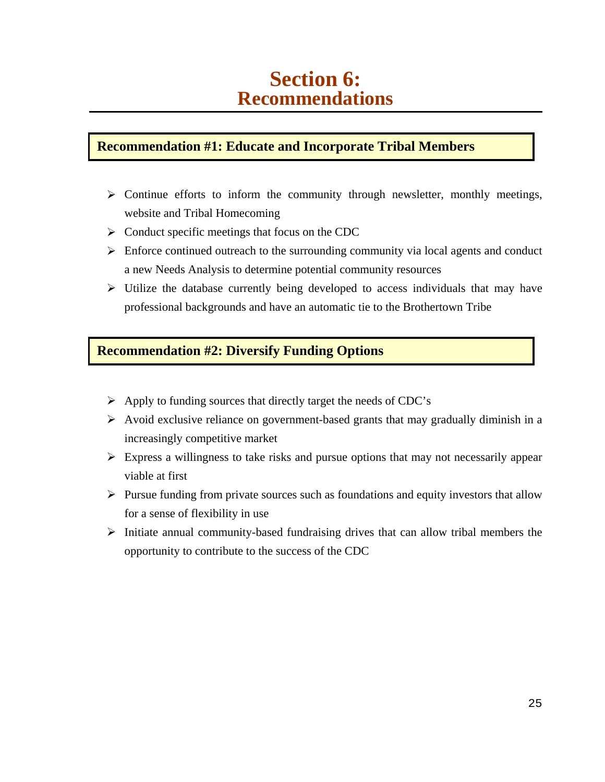# **Section 6: Recommendations**

## **Recommendation #1: Educate and Incorporate Tribal Members**

- > Continue efforts to inform the community through newsletter, monthly meetings, website and Tribal Homecoming
- > Conduct specific meetings that focus on the CDC
- > Enforce continued outreach to the surrounding community via local agents and conduct a new Needs Analysis to determine potential community resources
- -Utilize the database currently being developed to access individuals that may have professional backgrounds and have an automatic tie to the Brothertown Tribe

### **Recommendation #2: Diversify Funding Options**

- -Apply to funding sources that directly target the needs of CDC's
- > Avoid exclusive reliance on government-based grants that may gradually diminish in a increasingly competitive market
- -Express a willingness to take risks and pursue options that may not necessarily appear viable at first
- > Pursue funding from private sources such as foundations and equity investors that allow for a sense of flexibility in use
- > Initiate annual community-based fundraising drives that can allow tribal members the opportunity to contribute to the success of the CDC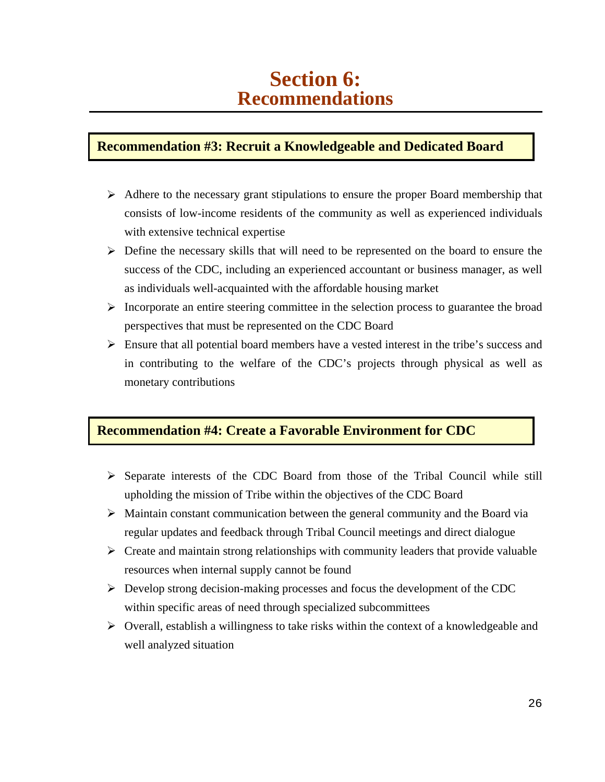# **Section 6: Recommendations**

### **Recommendation #3: Recruit a Knowledgeable and Dedicated Board**

- > Adhere to the necessary grant stipulations to ensure the proper Board membership that consists of low-income residents of the community as well as experienced individuals with extensive technical expertise
- > Define the necessary skills that will need to be represented on the board to ensure the success of the CDC, including an experienced accountant or business manager, as well as individuals well-acquainted with the affordable housing market
- > Incorporate an entire steering committee in the selection process to guarantee the broad perspectives that must be represented on the CDC Board
- -Ensure that all potential board members have a vested interest in the tribe's success and in contributing to the welfare of the CDC's projects through physical as well as monetary contributions

### **Recommendation #4: Create a Favorable Environment for CDC**

- -Separate interests of the CDC Board from those of the Tribal Council while still upholding the mission of Tribe within the objectives of the CDC Board
- > Maintain constant communication between the general community and the Board via regular updates and feedback through Tribal Council meetings and direct dialogue
- > Create and maintain strong relationships with community leaders that provide valuable resources when internal supply cannot be found
- -Develop strong decision-making processes and focus the development of the CDC within specific areas of need through specialized subcommittees
- -Overall, establish a willingness to take risks within the context of a knowledgeable and well analyzed situation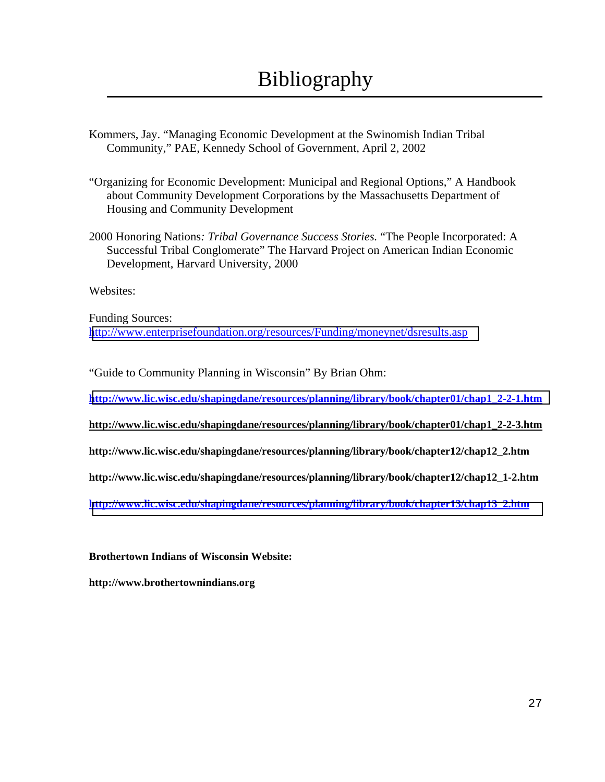- Kommers, Jay. "Managing Economic Development at the Swinomish Indian Tribal Community," PAE, Kennedy School of Government, April 2, 2002
- "Organizing for Economic Development: Municipal and Regional Options," A Handbook about Community Development Corporations by the Massachusetts Department of Housing and Community Development
- 2000 Honoring Nations*: Tribal Governance Success Stories.* "The People Incorporated: A Successful Tribal Conglomerate" The Harvard Project on American Indian Economic Development, Harvard University, 2000

Websites:

Funding Sources: <http://www.enterprisefoundation.org/resources/Funding/moneynet/dsresults.asp>

"Guide to Community Planning in Wisconsin" By Brian Ohm:

**[http://www.lic.wisc.edu/shapingdane/resources/planning/library/book/chapter01/chap1\\_2-2-1.htm](http://www.lic.wisc.edu/shapingdane/resources/planning/library/book/chapter01/chap1_2-2-1.htm)**

**http://www.lic.wisc.edu/shapingdane/resources/planning/library/book/chapter01/chap1\_2-2-3.htm**

**http://www.lic.wisc.edu/shapingdane/resources/planning/library/book/chapter12/chap12\_2.htm** 

**http://www.lic.wisc.edu/shapingdane/resources/planning/library/book/chapter12/chap12\_1-2.htm** 

**[http://www.lic.wisc.edu/shapingdane/resources/planning/library/book/chapter13/chap13\\_2.htm](http://www.lic.wisc.edu/shapingdane/resources/planning/library/book/chapter13/chap13_2.htm)**

**Brothertown Indians of Wisconsin Website:** 

**http://www.brothertownindians.org**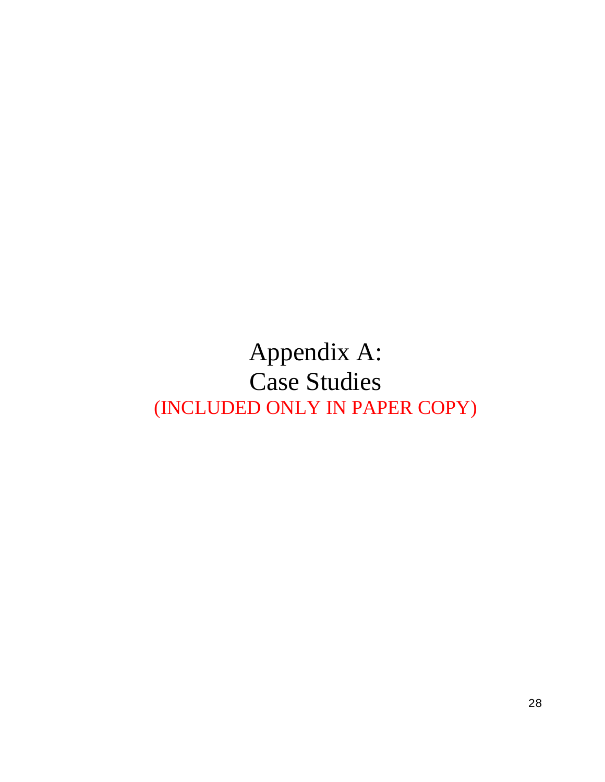# Appendix A: Case Studies (INCLUDED ONLY IN PAPER COPY)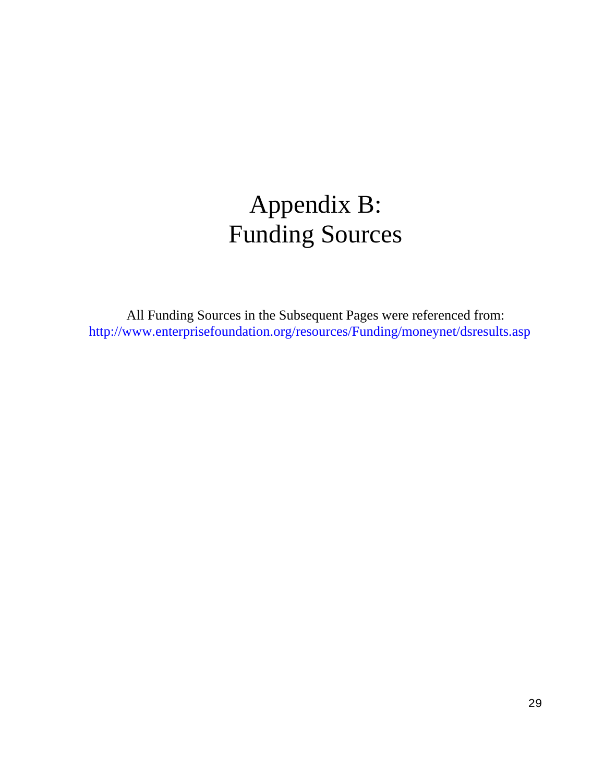# Appendix B: Funding Sources

All Funding Sources in the Subsequent Pages were referenced from: http://www.enterprisefoundation.org/resources/Funding/moneynet/dsresults.asp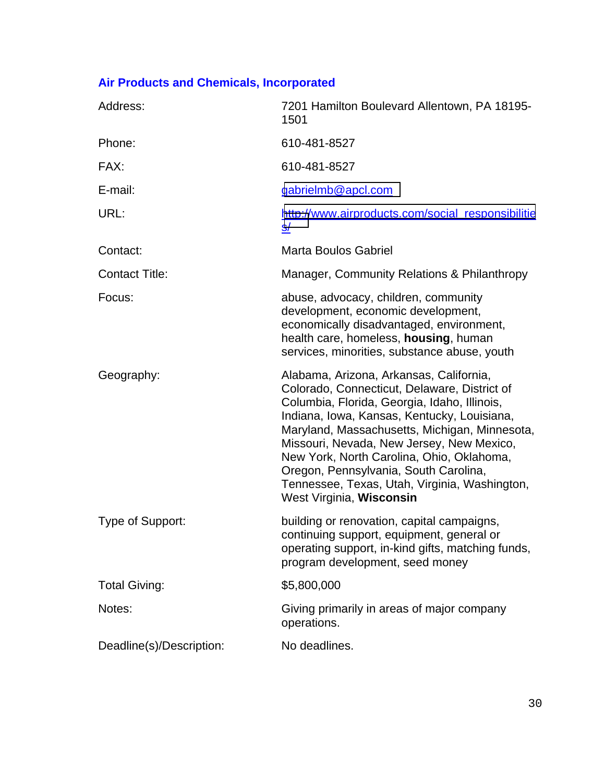# **Air Products and Chemicals, Incorporated**

| Address:                 | 7201 Hamilton Boulevard Allentown, PA 18195-<br>1501                                                                                                                                                                                                                                                                                                                                                                                                    |
|--------------------------|---------------------------------------------------------------------------------------------------------------------------------------------------------------------------------------------------------------------------------------------------------------------------------------------------------------------------------------------------------------------------------------------------------------------------------------------------------|
| Phone:                   | 610-481-8527                                                                                                                                                                                                                                                                                                                                                                                                                                            |
| FAX:                     | 610-481-8527                                                                                                                                                                                                                                                                                                                                                                                                                                            |
| E-mail:                  | gabrielmb@apcl.com                                                                                                                                                                                                                                                                                                                                                                                                                                      |
| URL:                     | http://www.airproducts.com/social_responsibilitie<br><u>s/</u>                                                                                                                                                                                                                                                                                                                                                                                          |
| Contact:                 | <b>Marta Boulos Gabriel</b>                                                                                                                                                                                                                                                                                                                                                                                                                             |
| <b>Contact Title:</b>    | Manager, Community Relations & Philanthropy                                                                                                                                                                                                                                                                                                                                                                                                             |
| Focus:                   | abuse, advocacy, children, community<br>development, economic development,<br>economically disadvantaged, environment,<br>health care, homeless, housing, human<br>services, minorities, substance abuse, youth                                                                                                                                                                                                                                         |
| Geography:               | Alabama, Arizona, Arkansas, California,<br>Colorado, Connecticut, Delaware, District of<br>Columbia, Florida, Georgia, Idaho, Illinois,<br>Indiana, Iowa, Kansas, Kentucky, Louisiana,<br>Maryland, Massachusetts, Michigan, Minnesota,<br>Missouri, Nevada, New Jersey, New Mexico,<br>New York, North Carolina, Ohio, Oklahoma,<br>Oregon, Pennsylvania, South Carolina,<br>Tennessee, Texas, Utah, Virginia, Washington,<br>West Virginia, Wisconsin |
| Type of Support:         | building or renovation, capital campaigns,<br>continuing support, equipment, general or<br>operating support, in-kind gifts, matching funds,<br>program development, seed money                                                                                                                                                                                                                                                                         |
| <b>Total Giving:</b>     | \$5,800,000                                                                                                                                                                                                                                                                                                                                                                                                                                             |
| Notes:                   | Giving primarily in areas of major company<br>operations.                                                                                                                                                                                                                                                                                                                                                                                               |
| Deadline(s)/Description: | No deadlines.                                                                                                                                                                                                                                                                                                                                                                                                                                           |
|                          |                                                                                                                                                                                                                                                                                                                                                                                                                                                         |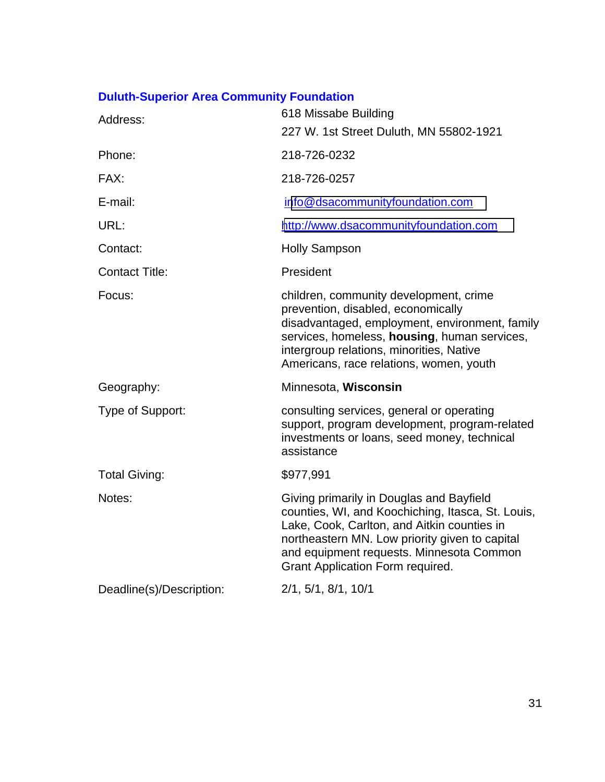# **Duluth-Superior Area Community Foundation**

| Address:                 | 618 Missabe Building<br>227 W. 1st Street Duluth, MN 55802-1921                                                                                                                                                                                                                |
|--------------------------|--------------------------------------------------------------------------------------------------------------------------------------------------------------------------------------------------------------------------------------------------------------------------------|
| Phone:                   | 218-726-0232                                                                                                                                                                                                                                                                   |
| FAX:                     | 218-726-0257                                                                                                                                                                                                                                                                   |
| E-mail:                  | info@dsacommunityfoundation.com                                                                                                                                                                                                                                                |
| URL:                     | http://www.dsacommunityfoundation.com                                                                                                                                                                                                                                          |
| Contact:                 | <b>Holly Sampson</b>                                                                                                                                                                                                                                                           |
| <b>Contact Title:</b>    | President                                                                                                                                                                                                                                                                      |
| Focus:                   | children, community development, crime<br>prevention, disabled, economically<br>disadvantaged, employment, environment, family<br>services, homeless, housing, human services,<br>intergroup relations, minorities, Native<br>Americans, race relations, women, youth          |
| Geography:               | Minnesota, Wisconsin                                                                                                                                                                                                                                                           |
| Type of Support:         | consulting services, general or operating<br>support, program development, program-related<br>investments or loans, seed money, technical<br>assistance                                                                                                                        |
| <b>Total Giving:</b>     | \$977,991                                                                                                                                                                                                                                                                      |
| Notes:                   | Giving primarily in Douglas and Bayfield<br>counties, WI, and Koochiching, Itasca, St. Louis,<br>Lake, Cook, Carlton, and Aitkin counties in<br>northeastern MN. Low priority given to capital<br>and equipment requests. Minnesota Common<br>Grant Application Form required. |
| Deadline(s)/Description: | 2/1, 5/1, 8/1, 10/1                                                                                                                                                                                                                                                            |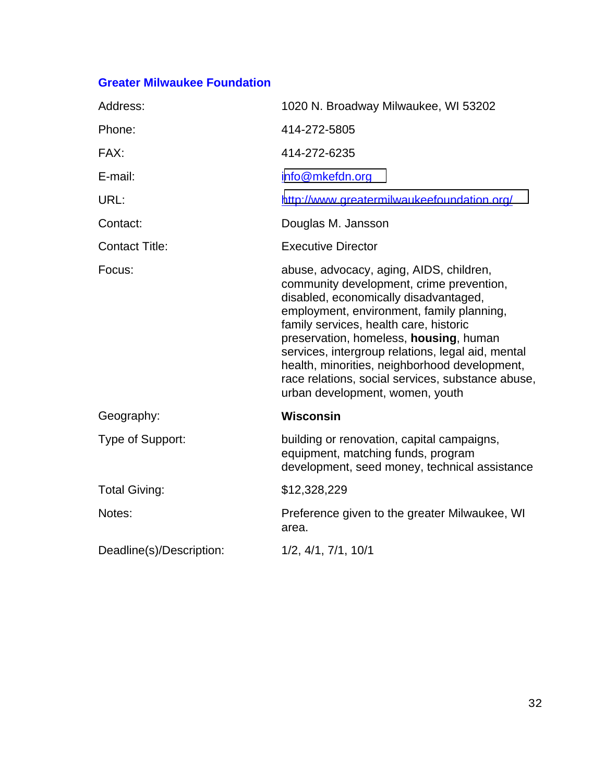### **Greater Milwaukee Foundation**

| Address:                 | 1020 N. Broadway Milwaukee, WI 53202                                                                                                                                                                                                                                                                                                                                                                                                                        |
|--------------------------|-------------------------------------------------------------------------------------------------------------------------------------------------------------------------------------------------------------------------------------------------------------------------------------------------------------------------------------------------------------------------------------------------------------------------------------------------------------|
| Phone:                   | 414-272-5805                                                                                                                                                                                                                                                                                                                                                                                                                                                |
| FAX:                     | 414-272-6235                                                                                                                                                                                                                                                                                                                                                                                                                                                |
| E-mail:                  | info@mkefdn.org                                                                                                                                                                                                                                                                                                                                                                                                                                             |
| URL:                     | http://www.greatermilwaukeefoundation.org/                                                                                                                                                                                                                                                                                                                                                                                                                  |
| Contact:                 | Douglas M. Jansson                                                                                                                                                                                                                                                                                                                                                                                                                                          |
| <b>Contact Title:</b>    | <b>Executive Director</b>                                                                                                                                                                                                                                                                                                                                                                                                                                   |
| Focus:                   | abuse, advocacy, aging, AIDS, children,<br>community development, crime prevention,<br>disabled, economically disadvantaged,<br>employment, environment, family planning,<br>family services, health care, historic<br>preservation, homeless, housing, human<br>services, intergroup relations, legal aid, mental<br>health, minorities, neighborhood development,<br>race relations, social services, substance abuse,<br>urban development, women, youth |
| Geography:               | <b>Wisconsin</b>                                                                                                                                                                                                                                                                                                                                                                                                                                            |
| Type of Support:         | building or renovation, capital campaigns,<br>equipment, matching funds, program<br>development, seed money, technical assistance                                                                                                                                                                                                                                                                                                                           |
| <b>Total Giving:</b>     | \$12,328,229                                                                                                                                                                                                                                                                                                                                                                                                                                                |
| Notes:                   | Preference given to the greater Milwaukee, WI<br>area.                                                                                                                                                                                                                                                                                                                                                                                                      |
| Deadline(s)/Description: | 1/2, 4/1, 7/1, 10/1                                                                                                                                                                                                                                                                                                                                                                                                                                         |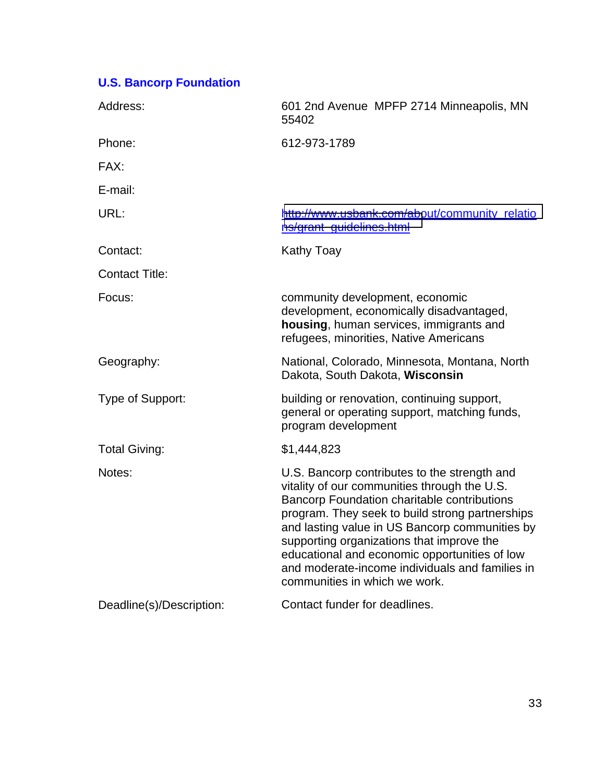# **U.S. Bancorp Foundation**

| Address:                 | 601 2nd Avenue MPFP 2714 Minneapolis, MN<br>55402                                                                                                                                                                                                                                                                                                                                                                                  |
|--------------------------|------------------------------------------------------------------------------------------------------------------------------------------------------------------------------------------------------------------------------------------------------------------------------------------------------------------------------------------------------------------------------------------------------------------------------------|
| Phone:                   | 612-973-1789                                                                                                                                                                                                                                                                                                                                                                                                                       |
| FAX:                     |                                                                                                                                                                                                                                                                                                                                                                                                                                    |
| E-mail:                  |                                                                                                                                                                                                                                                                                                                                                                                                                                    |
| URL:                     | http://www.usbank.com/about/community_relatio<br>ns/grant_guidelines.html                                                                                                                                                                                                                                                                                                                                                          |
| Contact:                 | <b>Kathy Toay</b>                                                                                                                                                                                                                                                                                                                                                                                                                  |
| <b>Contact Title:</b>    |                                                                                                                                                                                                                                                                                                                                                                                                                                    |
| Focus:                   | community development, economic<br>development, economically disadvantaged,<br>housing, human services, immigrants and<br>refugees, minorities, Native Americans                                                                                                                                                                                                                                                                   |
| Geography:               | National, Colorado, Minnesota, Montana, North<br>Dakota, South Dakota, Wisconsin                                                                                                                                                                                                                                                                                                                                                   |
| Type of Support:         | building or renovation, continuing support,<br>general or operating support, matching funds,<br>program development                                                                                                                                                                                                                                                                                                                |
| <b>Total Giving:</b>     | \$1,444,823                                                                                                                                                                                                                                                                                                                                                                                                                        |
| Notes:                   | U.S. Bancorp contributes to the strength and<br>vitality of our communities through the U.S.<br>Bancorp Foundation charitable contributions<br>program. They seek to build strong partnerships<br>and lasting value in US Bancorp communities by<br>supporting organizations that improve the<br>educational and economic opportunities of low<br>and moderate-income individuals and families in<br>communities in which we work. |
| Deadline(s)/Description: | Contact funder for deadlines.                                                                                                                                                                                                                                                                                                                                                                                                      |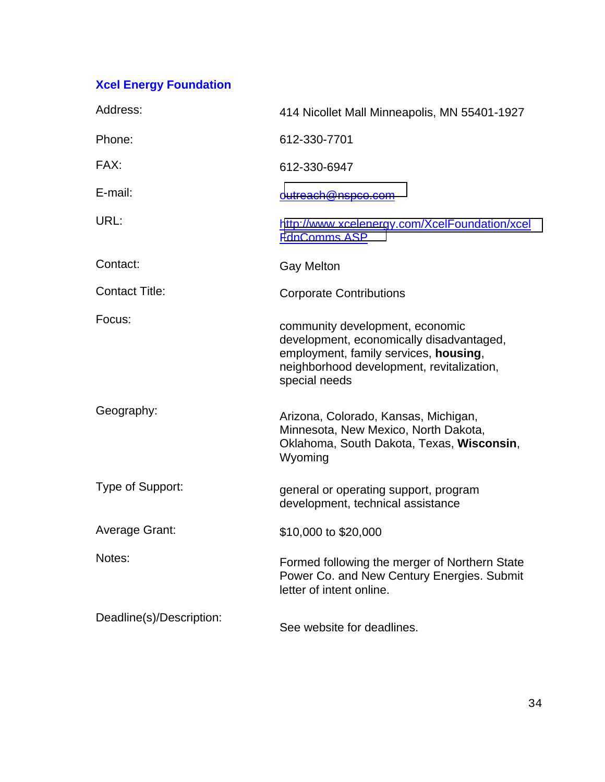# **Xcel Energy Foundation**

| Address:                 | 414 Nicollet Mall Minneapolis, MN 55401-1927                                                                                                                                       |
|--------------------------|------------------------------------------------------------------------------------------------------------------------------------------------------------------------------------|
| Phone:                   | 612-330-7701                                                                                                                                                                       |
| FAX:                     | 612-330-6947                                                                                                                                                                       |
| E-mail:                  | outreach@nspco.com                                                                                                                                                                 |
| URL:                     | http://www.xcelenergy.com/XcelFoundation/xcel<br>FdnComms.ASP                                                                                                                      |
| Contact:                 | <b>Gay Melton</b>                                                                                                                                                                  |
| <b>Contact Title:</b>    | <b>Corporate Contributions</b>                                                                                                                                                     |
| Focus:                   | community development, economic<br>development, economically disadvantaged,<br>employment, family services, housing,<br>neighborhood development, revitalization,<br>special needs |
| Geography:               | Arizona, Colorado, Kansas, Michigan,<br>Minnesota, New Mexico, North Dakota,<br>Oklahoma, South Dakota, Texas, Wisconsin,<br>Wyoming                                               |
| Type of Support:         | general or operating support, program<br>development, technical assistance                                                                                                         |
| <b>Average Grant:</b>    | \$10,000 to \$20,000                                                                                                                                                               |
| Notes:                   | Formed following the merger of Northern State<br>Power Co. and New Century Energies. Submit<br>letter of intent online.                                                            |
| Deadline(s)/Description: | See website for deadlines.                                                                                                                                                         |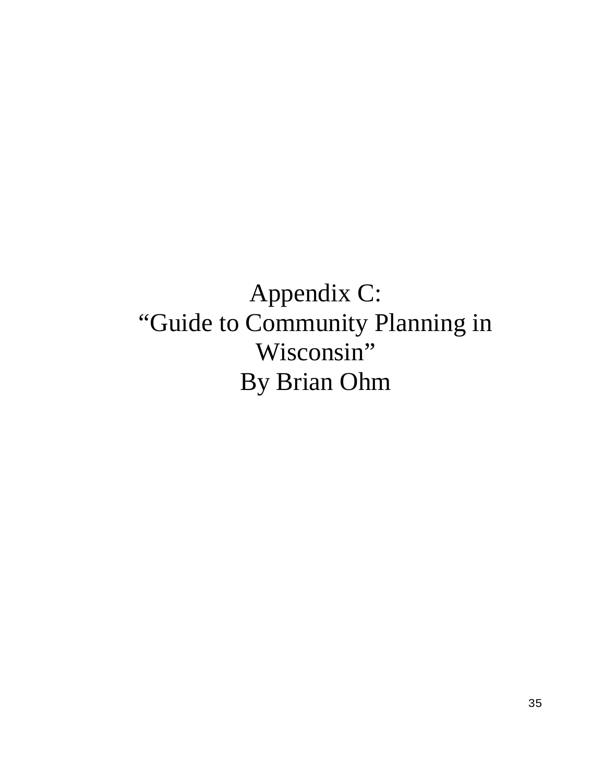# Appendix C: "Guide to Community Planning in Wisconsin" By Brian Ohm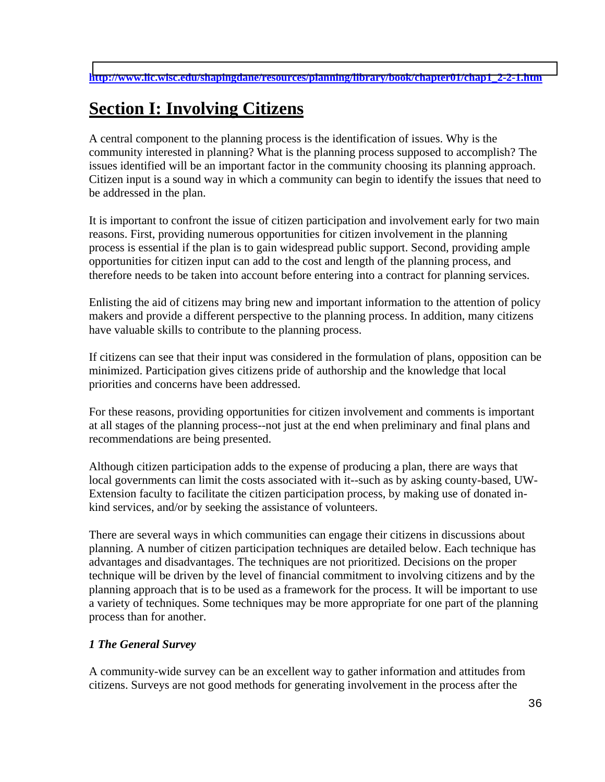# **Section I: Involving Citizens**

A central component to the planning process is the identification of issues. Why is the community interested in planning? What is the planning process supposed to accomplish? The issues identified will be an important factor in the community choosing its planning approach. Citizen input is a sound way in which a community can begin to identify the issues that need to be addressed in the plan.

It is important to confront the issue of citizen participation and involvement early for two main reasons. First, providing numerous opportunities for citizen involvement in the planning process is essential if the plan is to gain widespread public support. Second, providing ample opportunities for citizen input can add to the cost and length of the planning process, and therefore needs to be taken into account before entering into a contract for planning services.

Enlisting the aid of citizens may bring new and important information to the attention of policy makers and provide a different perspective to the planning process. In addition, many citizens have valuable skills to contribute to the planning process.

If citizens can see that their input was considered in the formulation of plans, opposition can be minimized. Participation gives citizens pride of authorship and the knowledge that local priorities and concerns have been addressed.

For these reasons, providing opportunities for citizen involvement and comments is important at all stages of the planning process--not just at the end when preliminary and final plans and recommendations are being presented.

Although citizen participation adds to the expense of producing a plan, there are ways that local governments can limit the costs associated with it--such as by asking county-based, UW-Extension faculty to facilitate the citizen participation process, by making use of donated inkind services, and/or by seeking the assistance of volunteers.

There are several ways in which communities can engage their citizens in discussions about planning. A number of citizen participation techniques are detailed below. Each technique has advantages and disadvantages. The techniques are not prioritized. Decisions on the proper technique will be driven by the level of financial commitment to involving citizens and by the planning approach that is to be used as a framework for the process. It will be important to use a variety of techniques. Some techniques may be more appropriate for one part of the planning process than for another.

### *1 The General Survey*

A community-wide survey can be an excellent way to gather information and attitudes from citizens. Surveys are not good methods for generating involvement in the process after the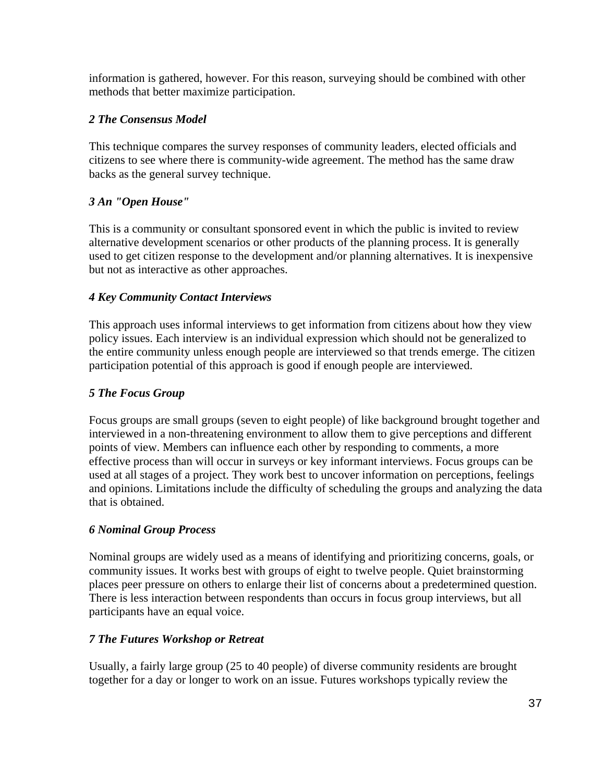information is gathered, however. For this reason, surveying should be combined with other methods that better maximize participation.

### *2 The Consensus Model*

This technique compares the survey responses of community leaders, elected officials and citizens to see where there is community-wide agreement. The method has the same draw backs as the general survey technique.

### *3 An "Open House"*

This is a community or consultant sponsored event in which the public is invited to review alternative development scenarios or other products of the planning process. It is generally used to get citizen response to the development and/or planning alternatives. It is inexpensive but not as interactive as other approaches.

### *4 Key Community Contact Interviews*

This approach uses informal interviews to get information from citizens about how they view policy issues. Each interview is an individual expression which should not be generalized to the entire community unless enough people are interviewed so that trends emerge. The citizen participation potential of this approach is good if enough people are interviewed.

### *5 The Focus Group*

Focus groups are small groups (seven to eight people) of like background brought together and interviewed in a non-threatening environment to allow them to give perceptions and different points of view. Members can influence each other by responding to comments, a more effective process than will occur in surveys or key informant interviews. Focus groups can be used at all stages of a project. They work best to uncover information on perceptions, feelings and opinions. Limitations include the difficulty of scheduling the groups and analyzing the data that is obtained.

### *6 Nominal Group Process*

Nominal groups are widely used as a means of identifying and prioritizing concerns, goals, or community issues. It works best with groups of eight to twelve people. Quiet brainstorming places peer pressure on others to enlarge their list of concerns about a predetermined question. There is less interaction between respondents than occurs in focus group interviews, but all participants have an equal voice.

### *7 The Futures Workshop or Retreat*

Usually, a fairly large group (25 to 40 people) of diverse community residents are brought together for a day or longer to work on an issue. Futures workshops typically review the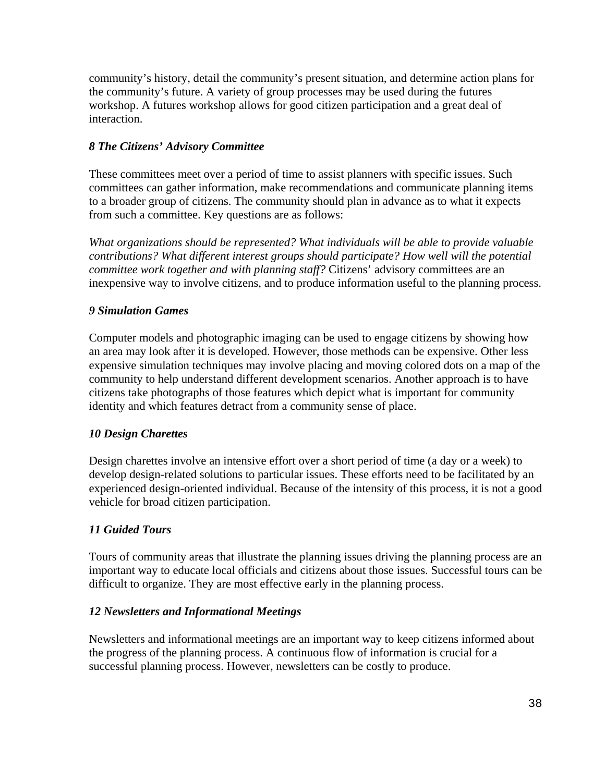community's history, detail the community's present situation, and determine action plans for the community's future. A variety of group processes may be used during the futures workshop. A futures workshop allows for good citizen participation and a great deal of interaction.

### *8 The Citizens' Advisory Committee*

These committees meet over a period of time to assist planners with specific issues. Such committees can gather information, make recommendations and communicate planning items to a broader group of citizens. The community should plan in advance as to what it expects from such a committee. Key questions are as follows:

*What organizations should be represented? What individuals will be able to provide valuable contributions? What different interest groups should participate? How well will the potential committee work together and with planning staff?* Citizens' advisory committees are an inexpensive way to involve citizens, and to produce information useful to the planning process.

### *9 Simulation Games*

Computer models and photographic imaging can be used to engage citizens by showing how an area may look after it is developed. However, those methods can be expensive. Other less expensive simulation techniques may involve placing and moving colored dots on a map of the community to help understand different development scenarios. Another approach is to have citizens take photographs of those features which depict what is important for community identity and which features detract from a community sense of place.

### *10 Design Charettes*

Design charettes involve an intensive effort over a short period of time (a day or a week) to develop design-related solutions to particular issues. These efforts need to be facilitated by an experienced design-oriented individual. Because of the intensity of this process, it is not a good vehicle for broad citizen participation.

### *11 Guided Tours*

Tours of community areas that illustrate the planning issues driving the planning process are an important way to educate local officials and citizens about those issues. Successful tours can be difficult to organize. They are most effective early in the planning process.

### *12 Newsletters and Informational Meetings*

Newsletters and informational meetings are an important way to keep citizens informed about the progress of the planning process. A continuous flow of information is crucial for a successful planning process. However, newsletters can be costly to produce.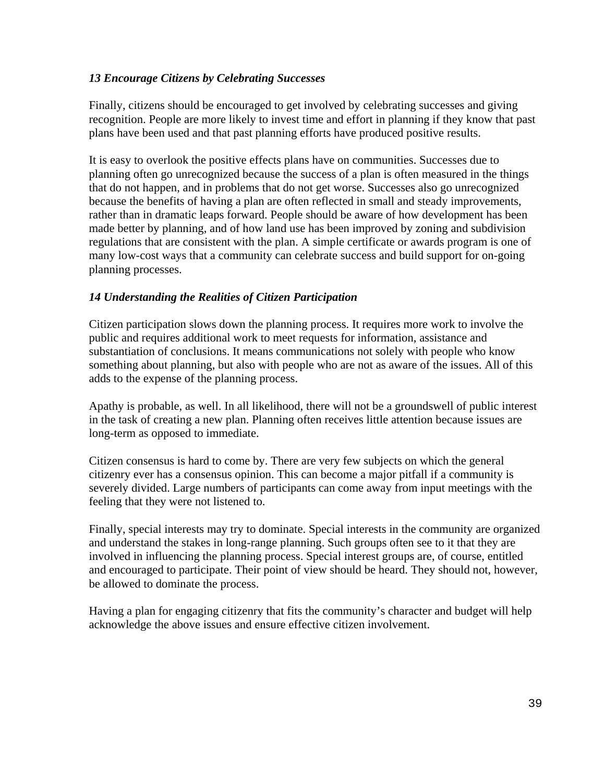### *13 Encourage Citizens by Celebrating Successes*

Finally, citizens should be encouraged to get involved by celebrating successes and giving recognition. People are more likely to invest time and effort in planning if they know that past plans have been used and that past planning efforts have produced positive results.

It is easy to overlook the positive effects plans have on communities. Successes due to planning often go unrecognized because the success of a plan is often measured in the things that do not happen, and in problems that do not get worse. Successes also go unrecognized because the benefits of having a plan are often reflected in small and steady improvements, rather than in dramatic leaps forward. People should be aware of how development has been made better by planning, and of how land use has been improved by zoning and subdivision regulations that are consistent with the plan. A simple certificate or awards program is one of many low-cost ways that a community can celebrate success and build support for on-going planning processes.

### *14 Understanding the Realities of Citizen Participation*

Citizen participation slows down the planning process. It requires more work to involve the public and requires additional work to meet requests for information, assistance and substantiation of conclusions. It means communications not solely with people who know something about planning, but also with people who are not as aware of the issues. All of this adds to the expense of the planning process.

Apathy is probable, as well. In all likelihood, there will not be a groundswell of public interest in the task of creating a new plan. Planning often receives little attention because issues are long-term as opposed to immediate.

Citizen consensus is hard to come by. There are very few subjects on which the general citizenry ever has a consensus opinion. This can become a major pitfall if a community is severely divided. Large numbers of participants can come away from input meetings with the feeling that they were not listened to.

Finally, special interests may try to dominate. Special interests in the community are organized and understand the stakes in long-range planning. Such groups often see to it that they are involved in influencing the planning process. Special interest groups are, of course, entitled and encouraged to participate. Their point of view should be heard. They should not, however, be allowed to dominate the process.

Having a plan for engaging citizenry that fits the community's character and budget will help acknowledge the above issues and ensure effective citizen involvement.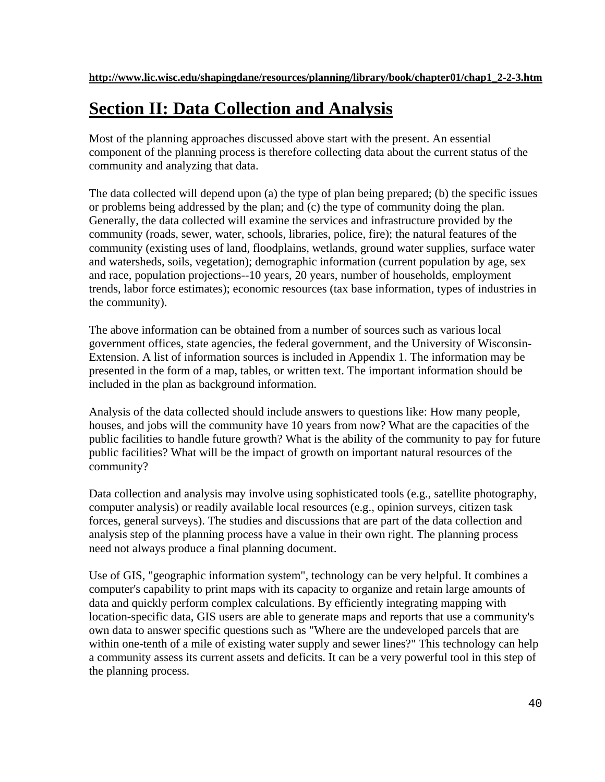# **Section II: Data Collection and Analysis**

Most of the planning approaches discussed above start with the present. An essential component of the planning process is therefore collecting data about the current status of the community and analyzing that data.

The data collected will depend upon (a) the type of plan being prepared; (b) the specific issues or problems being addressed by the plan; and (c) the type of community doing the plan. Generally, the data collected will examine the services and infrastructure provided by the community (roads, sewer, water, schools, libraries, police, fire); the natural features of the community (existing uses of land, floodplains, wetlands, ground water supplies, surface water and watersheds, soils, vegetation); demographic information (current population by age, sex and race, population projections--10 years, 20 years, number of households, employment trends, labor force estimates); economic resources (tax base information, types of industries in the community).

The above information can be obtained from a number of sources such as various local government offices, state agencies, the federal government, and the University of Wisconsin-Extension. A list of information sources is included in Appendix 1. The information may be presented in the form of a map, tables, or written text. The important information should be included in the plan as background information.

Analysis of the data collected should include answers to questions like: How many people, houses, and jobs will the community have 10 years from now? What are the capacities of the public facilities to handle future growth? What is the ability of the community to pay for future public facilities? What will be the impact of growth on important natural resources of the community?

Data collection and analysis may involve using sophisticated tools (e.g., satellite photography, computer analysis) or readily available local resources (e.g., opinion surveys, citizen task forces, general surveys). The studies and discussions that are part of the data collection and analysis step of the planning process have a value in their own right. The planning process need not always produce a final planning document.

Use of GIS, "geographic information system", technology can be very helpful. It combines a computer's capability to print maps with its capacity to organize and retain large amounts of data and quickly perform complex calculations. By efficiently integrating mapping with location-specific data, GIS users are able to generate maps and reports that use a community's own data to answer specific questions such as "Where are the undeveloped parcels that are within one-tenth of a mile of existing water supply and sewer lines?" This technology can help a community assess its current assets and deficits. It can be a very powerful tool in this step of the planning process.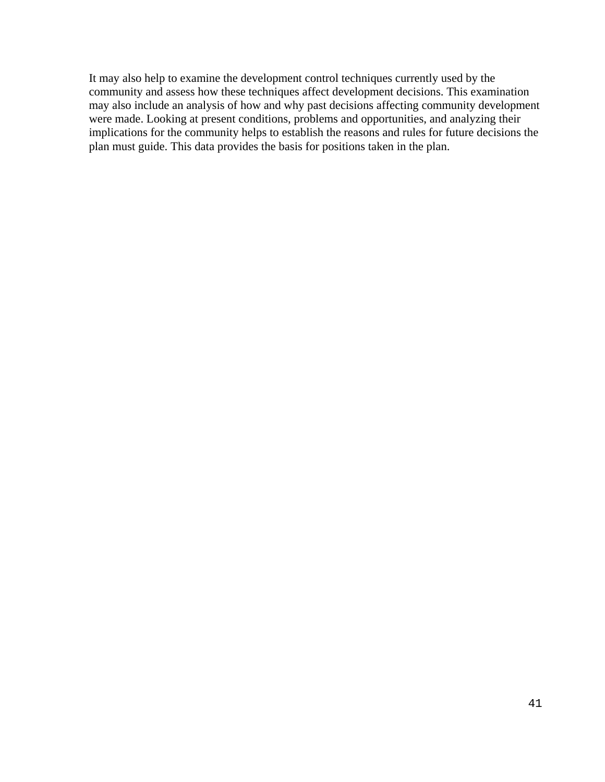It may also help to examine the development control techniques currently used by the community and assess how these techniques affect development decisions. This examination may also include an analysis of how and why past decisions affecting community development were made. Looking at present conditions, problems and opportunities, and analyzing their implications for the community helps to establish the reasons and rules for future decisions the plan must guide. This data provides the basis for positions taken in the plan.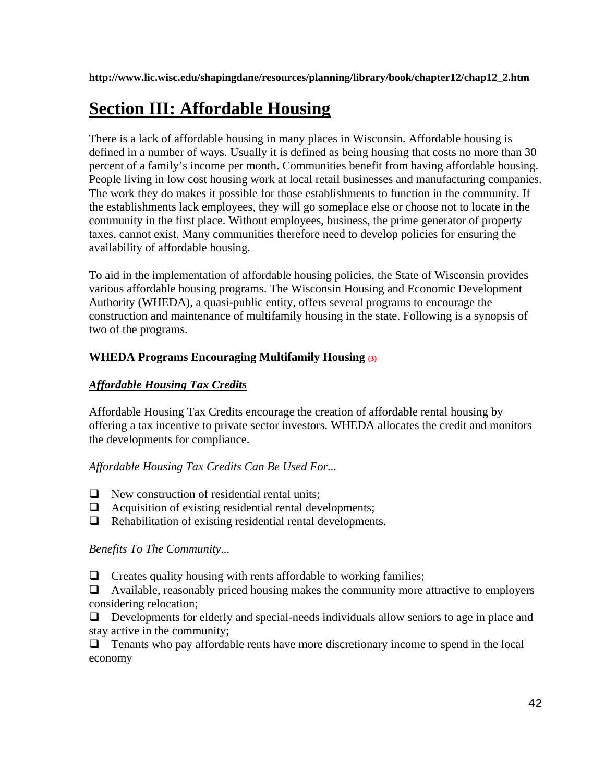**http://www.lic.wisc.edu/shapingdane/resources/planning/library/book/chapter12/chap12\_2.htm** 

# **Section III: Affordable Housing**

There is a lack of affordable housing in many places in Wisconsin. Affordable housing is defined in a number of ways. Usually it is defined as being housing that costs no more than 30 percent of a family's income per month. Communities benefit from having affordable housing. People living in low cost housing work at local retail businesses and manufacturing companies. The work they do makes it possible for those establishments to function in the community. If the establishments lack employees, they will go someplace else or choose not to locate in the community in the first place. Without employees, business, the prime generator of property taxes, cannot exist. Many communities therefore need to develop policies for ensuring the availability of affordable housing.

To aid in the implementation of affordable housing policies, the State of Wisconsin provides various affordable housing programs. The Wisconsin Housing and Economic Development Authority (WHEDA), a quasi-public entity, offers several programs to encourage the construction and maintenance of multifamily housing in the state. Following is a synopsis of two of the programs.

### **WHEDA Programs Encouraging Multifamily Housing (3)**

### *Affordable Housing Tax Credits*

Affordable Housing Tax Credits encourage the creation of affordable rental housing by offering a tax incentive to private sector investors. WHEDA allocates the credit and monitors the developments for compliance.

### *Affordable Housing Tax Credits Can Be Used For...*

- **a** New construction of residential rental units;
- -Acquisition of existing residential rental developments;
- **a** Rehabilitation of existing residential rental developments.

### *Benefits To The Community...*

-Creates quality housing with rents affordable to working families;

-Available, reasonably priced housing makes the community more attractive to employers considering relocation;

-Developments for elderly and special-needs individuals allow seniors to age in place and stay active in the community;

**Tenants who pay affordable rents have more discretionary income to spend in the local** economy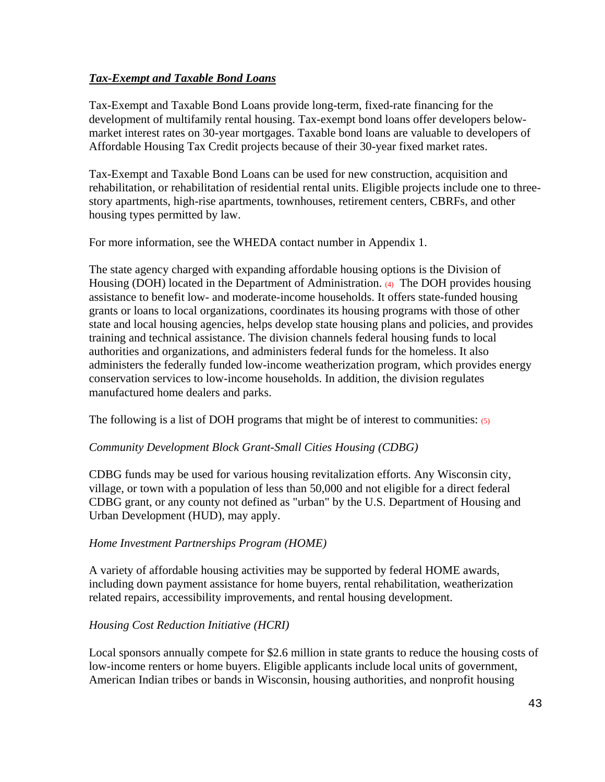### *Tax-Exempt and Taxable Bond Loans*

Tax-Exempt and Taxable Bond Loans provide long-term, fixed-rate financing for the development of multifamily rental housing. Tax-exempt bond loans offer developers belowmarket interest rates on 30-year mortgages. Taxable bond loans are valuable to developers of Affordable Housing Tax Credit projects because of their 30-year fixed market rates.

Tax-Exempt and Taxable Bond Loans can be used for new construction, acquisition and rehabilitation, or rehabilitation of residential rental units. Eligible projects include one to threestory apartments, high-rise apartments, townhouses, retirement centers, CBRFs, and other housing types permitted by law.

For more information, see the WHEDA contact number in Appendix 1.

The state agency charged with expanding affordable housing options is the Division of Housing (DOH) located in the Department of Administration. (4) The DOH provides housing assistance to benefit low- and moderate-income households. It offers state-funded housing grants or loans to local organizations, coordinates its housing programs with those of other state and local housing agencies, helps develop state housing plans and policies, and provides training and technical assistance. The division channels federal housing funds to local authorities and organizations, and administers federal funds for the homeless. It also administers the federally funded low-income weatherization program, which provides energy conservation services to low-income households. In addition, the division regulates manufactured home dealers and parks.

The following is a list of DOH programs that might be of interest to communities:  $(5)$ 

### *Community Development Block Grant-Small Cities Housing (CDBG)*

CDBG funds may be used for various housing revitalization efforts. Any Wisconsin city, village, or town with a population of less than 50,000 and not eligible for a direct federal CDBG grant, or any county not defined as "urban" by the U.S. Department of Housing and Urban Development (HUD), may apply.

### *Home Investment Partnerships Program (HOME)*

A variety of affordable housing activities may be supported by federal HOME awards, including down payment assistance for home buyers, rental rehabilitation, weatherization related repairs, accessibility improvements, and rental housing development.

### *Housing Cost Reduction Initiative (HCRI)*

Local sponsors annually compete for \$2.6 million in state grants to reduce the housing costs of low-income renters or home buyers. Eligible applicants include local units of government, American Indian tribes or bands in Wisconsin, housing authorities, and nonprofit housing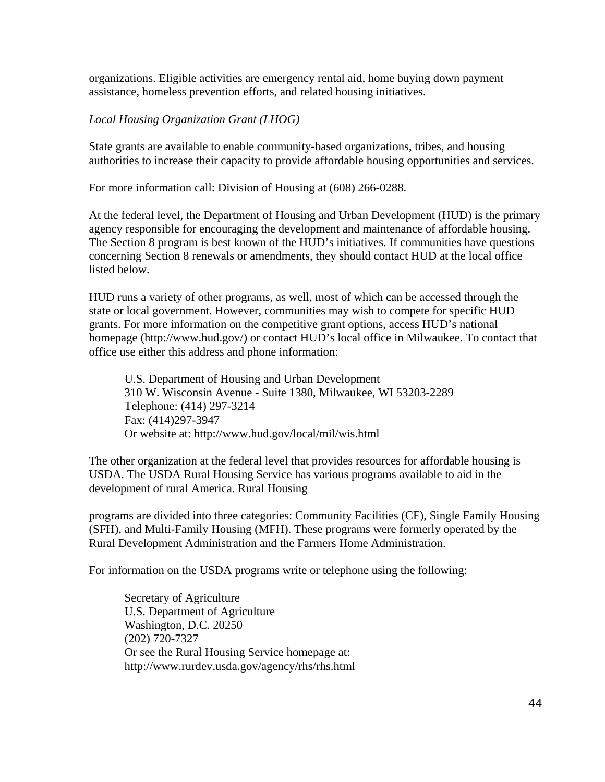organizations. Eligible activities are emergency rental aid, home buying down payment assistance, homeless prevention efforts, and related housing initiatives.

#### *Local Housing Organization Grant (LHOG)*

State grants are available to enable community-based organizations, tribes, and housing authorities to increase their capacity to provide affordable housing opportunities and services.

For more information call: Division of Housing at (608) 266-0288.

At the federal level, the Department of Housing and Urban Development (HUD) is the primary agency responsible for encouraging the development and maintenance of affordable housing. The Section 8 program is best known of the HUD's initiatives. If communities have questions concerning Section 8 renewals or amendments, they should contact HUD at the local office listed below.

HUD runs a variety of other programs, as well, most of which can be accessed through the state or local government. However, communities may wish to compete for specific HUD grants. For more information on the competitive grant options, access HUD's national homepage (http://www.hud.gov/) or contact HUD's local office in Milwaukee. To contact that office use either this address and phone information:

U.S. Department of Housing and Urban Development 310 W. Wisconsin Avenue - Suite 1380, Milwaukee, WI 53203-2289 Telephone: (414) 297-3214 Fax: (414)297-3947 Or website at: http://www.hud.gov/local/mil/wis.html

The other organization at the federal level that provides resources for affordable housing is USDA. The USDA Rural Housing Service has various programs available to aid in the development of rural America. Rural Housing

programs are divided into three categories: Community Facilities (CF), Single Family Housing (SFH), and Multi-Family Housing (MFH). These programs were formerly operated by the Rural Development Administration and the Farmers Home Administration.

For information on the USDA programs write or telephone using the following:

Secretary of Agriculture U.S. Department of Agriculture Washington, D.C. 20250 (202) 720-7327 Or see the Rural Housing Service homepage at: http://www.rurdev.usda.gov/agency/rhs/rhs.html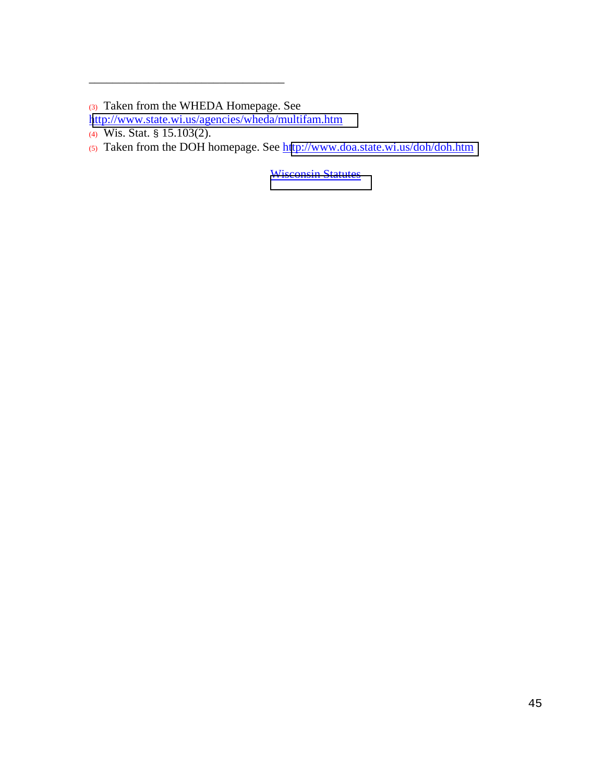\_\_\_\_\_\_\_\_\_\_\_\_\_\_\_\_\_\_\_\_\_\_\_\_\_\_\_\_\_\_\_\_\_

**[Wisconsin Statutes](http://www.legis.state.wi.us/rsb/stats.html)** 

<sup>(3)</sup> Taken from the WHEDA Homepage. See

<http://www.state.wi.us/agencies/wheda/multifam.htm>

<sup>(4)</sup> Wis. Stat. § 15.103(2).

<sup>(5)</sup> Taken from the DOH homepage. See h[ttp://www.doa.state.wi.us/doh/doh.htm](http://www.doa.state.wi.us/doh/doh.htm)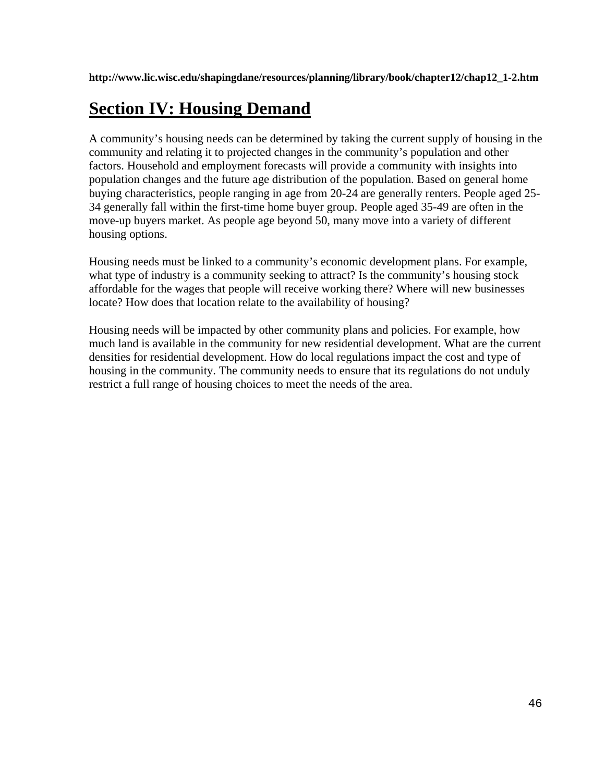**http://www.lic.wisc.edu/shapingdane/resources/planning/library/book/chapter12/chap12\_1-2.htm** 

# **Section IV: Housing Demand**

A community's housing needs can be determined by taking the current supply of housing in the community and relating it to projected changes in the community's population and other factors. Household and employment forecasts will provide a community with insights into population changes and the future age distribution of the population. Based on general home buying characteristics, people ranging in age from 20-24 are generally renters. People aged 25- 34 generally fall within the first-time home buyer group. People aged 35-49 are often in the move-up buyers market. As people age beyond 50, many move into a variety of different housing options.

Housing needs must be linked to a community's economic development plans. For example, what type of industry is a community seeking to attract? Is the community's housing stock affordable for the wages that people will receive working there? Where will new businesses locate? How does that location relate to the availability of housing?

Housing needs will be impacted by other community plans and policies. For example, how much land is available in the community for new residential development. What are the current densities for residential development. How do local regulations impact the cost and type of housing in the community. The community needs to ensure that its regulations do not unduly restrict a full range of housing choices to meet the needs of the area.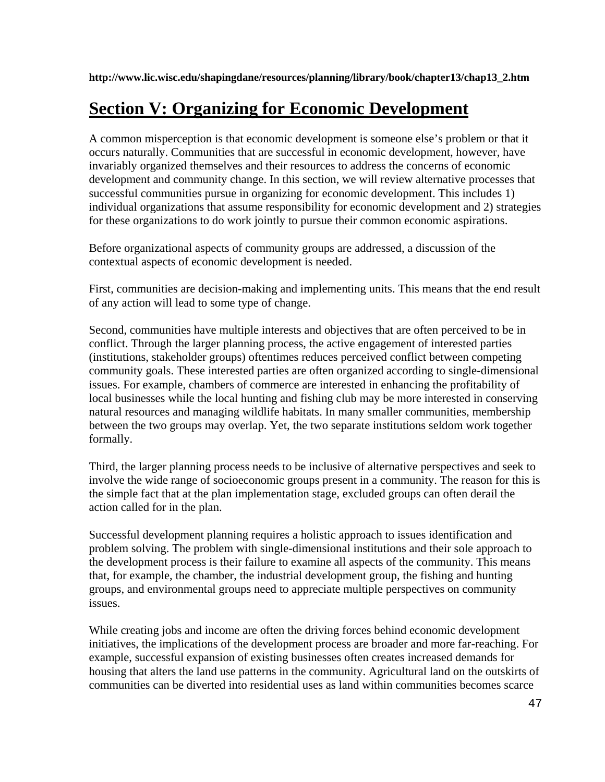**http://www.lic.wisc.edu/shapingdane/resources/planning/library/book/chapter13/chap13\_2.htm** 

# **Section V: Organizing for Economic Development**

A common misperception is that economic development is someone else's problem or that it occurs naturally. Communities that are successful in economic development, however, have invariably organized themselves and their resources to address the concerns of economic development and community change. In this section, we will review alternative processes that successful communities pursue in organizing for economic development. This includes 1) individual organizations that assume responsibility for economic development and 2) strategies for these organizations to do work jointly to pursue their common economic aspirations.

Before organizational aspects of community groups are addressed, a discussion of the contextual aspects of economic development is needed.

First, communities are decision-making and implementing units. This means that the end result of any action will lead to some type of change.

Second, communities have multiple interests and objectives that are often perceived to be in conflict. Through the larger planning process, the active engagement of interested parties (institutions, stakeholder groups) oftentimes reduces perceived conflict between competing community goals. These interested parties are often organized according to single-dimensional issues. For example, chambers of commerce are interested in enhancing the profitability of local businesses while the local hunting and fishing club may be more interested in conserving natural resources and managing wildlife habitats. In many smaller communities, membership between the two groups may overlap. Yet, the two separate institutions seldom work together formally.

Third, the larger planning process needs to be inclusive of alternative perspectives and seek to involve the wide range of socioeconomic groups present in a community. The reason for this is the simple fact that at the plan implementation stage, excluded groups can often derail the action called for in the plan.

Successful development planning requires a holistic approach to issues identification and problem solving. The problem with single-dimensional institutions and their sole approach to the development process is their failure to examine all aspects of the community. This means that, for example, the chamber, the industrial development group, the fishing and hunting groups, and environmental groups need to appreciate multiple perspectives on community issues.

While creating jobs and income are often the driving forces behind economic development initiatives, the implications of the development process are broader and more far-reaching. For example, successful expansion of existing businesses often creates increased demands for housing that alters the land use patterns in the community. Agricultural land on the outskirts of communities can be diverted into residential uses as land within communities becomes scarce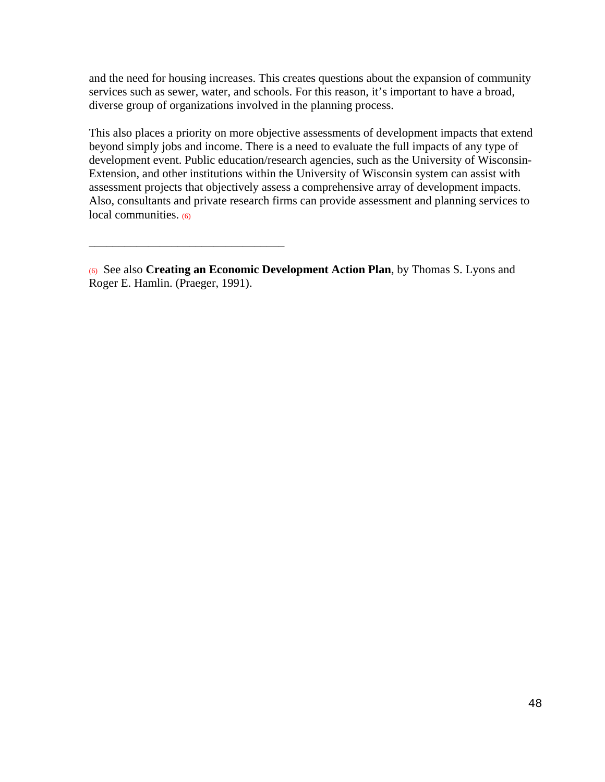and the need for housing increases. This creates questions about the expansion of community services such as sewer, water, and schools. For this reason, it's important to have a broad, diverse group of organizations involved in the planning process.

This also places a priority on more objective assessments of development impacts that extend beyond simply jobs and income. There is a need to evaluate the full impacts of any type of development event. Public education/research agencies, such as the University of Wisconsin-Extension, and other institutions within the University of Wisconsin system can assist with assessment projects that objectively assess a comprehensive array of development impacts. Also, consultants and private research firms can provide assessment and planning services to local communities. (6)

\_\_\_\_\_\_\_\_\_\_\_\_\_\_\_\_\_\_\_\_\_\_\_\_\_\_\_\_\_\_\_\_\_

<sup>(6)</sup> See also **Creating an Economic Development Action Plan**, by Thomas S. Lyons and Roger E. Hamlin. (Praeger, 1991).